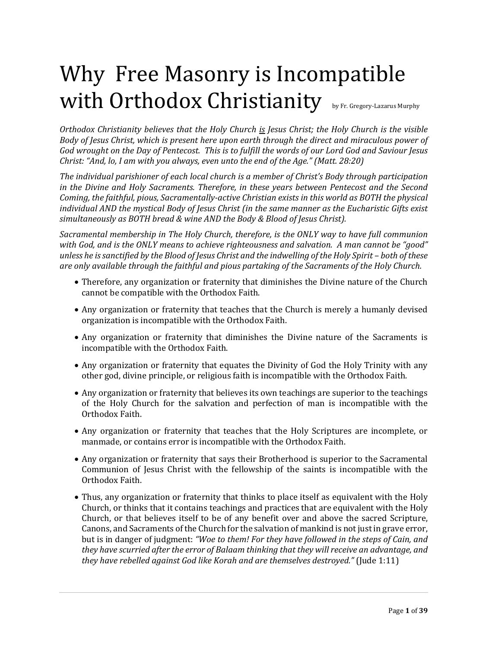# Why Free Masonry is Incompatible With Orthodox Christianity by Fr. Gregory-Lazarus Murphy

*Orthodox Christianity believes that the Holy Church is Jesus Christ; the Holy Church is the visible Body of lesus Christ, which is present here upon earth through the direct and miraculous power of God* wrought on the Day of Pentecost. This is to fulfill the words of our Lord God and Saviour Jesus *Christ:* "And, lo, I am with you always, even unto the end of the Age." (Matt. 28:20)

**The** individual parishioner of each local church is a member of Christ's Body through participation *in* the Divine and Holy Sacraments. Therefore, in these years between Pentecost and the Second *Coming, the faithful, pious, Sacramentally-active Christian exists in this world as BOTH the physical individual AND the mystical Body of Jesus Christ (in the same manner as the Eucharistic Gifts exist* simultaneously as BOTH bread & wine AND the Body & Blood of Jesus Christ).

Sacramental membership in The Holy Church, therefore, is the ONLY way to have full communion with God, and is the ONLY means to achieve righteousness and salvation. A man cannot be "good" *unless* he is sanctified by the Blood of Jesus Christ and the indwelling of the Holy Spirit – both of these are only available through the faithful and pious partaking of the Sacraments of the Holy Church.

- Therefore, any organization or fraternity that diminishes the Divine nature of the Church cannot be compatible with the Orthodox Faith.
- Any organization or fraternity that teaches that the Church is merely a humanly devised organization is incompatible with the Orthodox Faith.
- Any organization or fraternity that diminishes the Divine nature of the Sacraments is incompatible with the Orthodox Faith.
- Any organization or fraternity that equates the Divinity of God the Holy Trinity with any other god, divine principle, or religious faith is incompatible with the Orthodox Faith.
- Any organization or fraternity that believes its own teachings are superior to the teachings of the Holy Church for the salvation and perfection of man is incompatible with the Orthodox Faith.
- Any organization or fraternity that teaches that the Holy Scriptures are incomplete, or manmade, or contains error is incompatible with the Orthodox Faith.
- Any organization or fraternity that says their Brotherhood is superior to the Sacramental Communion of Jesus Christ with the fellowship of the saints is incompatible with the Orthodox Faith.
- Thus, any organization or fraternity that thinks to place itself as equivalent with the Holy Church, or thinks that it contains teachings and practices that are equivalent with the Holy Church, or that believes itself to be of any benefit over and above the sacred Scripture, Canons, and Sacraments of the Church for the salvation of mankind is not just in grave error, but is in danger of judgment: "Woe to them! For they have followed in the steps of Cain, and they have scurried after the error of Balaam thinking that they will receive an advantage, and *they have rebelled against God like Korah and are themselves destroyed."* (Jude 1:11)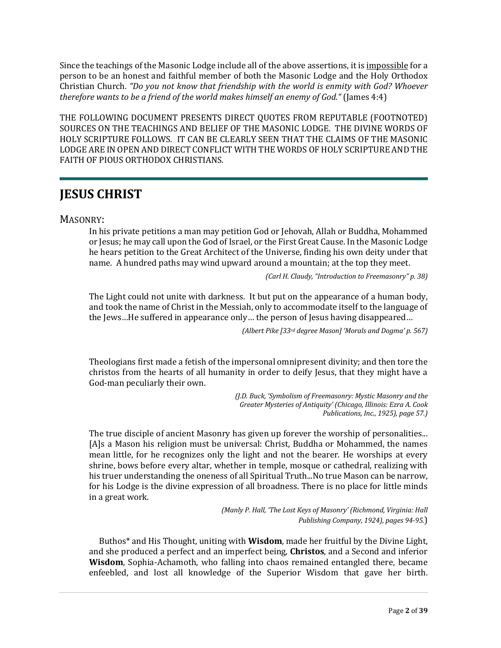Since the teachings of the Masonic Lodge include all of the above assertions, it is impossible for a person to be an honest and faithful member of both the Masonic Lodge and the Holy Orthodox Christian Church. *"Do you not know that friendship with the world is enmity with God? Whoever therefore wants to be a friend of the world makes himself an enemy of God."* (James 4:4)

THE FOLLOWING DOCUMENT PRESENTS DIRECT QUOTES FROM REPUTABLE (FOOTNOTED) SOURCES ON THE TEACHINGS AND BELIEF OF THE MASONIC LODGE. THE DIVINE WORDS OF HOLY SCRIPTURE FOLLOWS. IT CAN BE CLEARLY SEEN THAT THE CLAIMS OF THE MASONIC LODGE ARE IN OPEN AND DIRECT CONFLICT WITH THE WORDS OF HOLY SCRIPTURE AND THE FAITH OF PIOUS ORTHODOX CHRISTIANS.

### **JESUS CHRIST**

MASONRY:

In his private petitions a man may petition God or Jehovah, Allah or Buddha, Mohammed or Jesus; he may call upon the God of Israel, or the First Great Cause. In the Masonic Lodge he hears petition to the Great Architect of the Universe, finding his own deity under that name. A hundred paths may wind upward around a mountain; at the top they meet.

*(Carl H. Claudy, "Introduction to Freemasonry" p. 38)*

The Light could not unite with darkness. It but put on the appearance of a human body, and took the name of Christ in the Messiah, only to accommodate itself to the language of the Jews...He suffered in appearance only... the person of Jesus having disappeared...

*(Albert Pike [33rd degree Mason]* 'Morals and Dogma' *p.* 567)

Theologians first made a fetish of the impersonal omnipresent divinity; and then tore the christos from the hearts of all humanity in order to deify Jesus, that they might have a God-man peculiarly their own.

> *(J.D. Buck, 'Symbolism of Freemasonry: Mystic Masonry and the*  Greater Mysteries of Antiquity' (Chicago, Illinois: Ezra A. Cook *Publications, Inc., 1925), page 57.)*

The true disciple of ancient Masonry has given up forever the worship of personalities... [A]s a Mason his religion must be universal: Christ, Buddha or Mohammed, the names mean little, for he recognizes only the light and not the bearer. He worships at every shrine, bows before every altar, whether in temple, mosque or cathedral, realizing with his truer understanding the oneness of all Spiritual Truth...No true Mason can be narrow, for his Lodge is the divine expression of all broadness. There is no place for little minds in a great work.

> *(Manly P. Hall, 'The Lost Keys of Masonry' (Richmond, Virginia: Hall Publishing Company, 1924), pages 94-95.*

Buthos<sup>\*</sup> and His Thought, uniting with **Wisdom**, made her fruitful by the Divine Light, and she produced a perfect and an imperfect being, **Christos**, and a Second and inferior **Wisdom**, Sophia-Achamoth, who falling into chaos remained entangled there, became enfeebled, and lost all knowledge of the Superior Wisdom that gave her birth.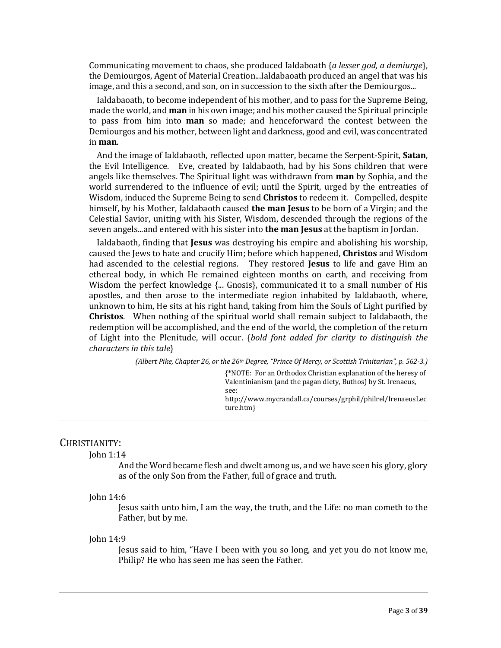Communicating movement to chaos, she produced Ialdaboath {*a* lesser god, a demiurge}, the Demiourgos, Agent of Material Creation...Ialdabaoath produced an angel that was his image, and this a second, and son, on in succession to the sixth after the Demiourgos...

Ialdabaoath, to become independent of his mother, and to pass for the Supreme Being, made the world, and **man** in his own image; and his mother caused the Spiritual principle to pass from him into **man** so made; and henceforward the contest between the Demiourgos and his mother, between light and darkness, good and evil, was concentrated in **man**.

And the image of Ialdabaoth, reflected upon matter, became the Serpent-Spirit, **Satan**, the Evil Intelligence. Eve, created by Ialdabaoth, had by his Sons children that were angels like themselves. The Spiritual light was withdrawn from **man** by Sophia, and the world surrendered to the influence of evil; until the Spirit, urged by the entreaties of Wisdom, induced the Supreme Being to send Christos to redeem it. Compelled, despite himself, by his Mother, Ialdabaoth caused **the man Jesus** to be born of a Virgin; and the Celestial Savior, uniting with his Sister, Wisdom, descended through the regions of the seven angels...and entered with his sister into **the man Jesus** at the baptism in Jordan.

Ialdabaoth, finding that **Jesus** was destroying his empire and abolishing his worship, caused the Jews to hate and crucify Him; before which happened, **Christos** and Wisdom had ascended to the celestial regions. They restored **Jesus** to life and gave Him an ethereal body, in which He remained eighteen months on earth, and receiving from Wisdom the perfect knowledge  ${...}$  Gnosis}, communicated it to a small number of His apostles, and then arose to the intermediate region inhabited by Ialdabaoth, where, unknown to him, He sits at his right hand, taking from him the Souls of Light purified by **Christos.** When nothing of the spiritual world shall remain subject to Ialdabaoth, the redemption will be accomplished, and the end of the world, the completion of the return of Light into the Plenitude, will occur. {bold font added for clarity to distinguish the *characters in this tale}* 

*(Albert Pike, Chapter 26, or the 26<sup>th</sup> Degree, "Prince Of Mercy, or Scottish Trinitarian", p. 562-3.)* 

{\*NOTE: For an Orthodox Christian explanation of the heresy of Valentinianism (and the pagan diety, Buthos) by St. Irenaeus, see: 

http://www.mycrandall.ca/courses/grphil/philrel/IrenaeusLec ture.htm}

#### CHRISTIANITY:

John  $1:14$ 

And the Word became flesh and dwelt among us, and we have seen his glory, glory as of the only Son from the Father, full of grace and truth.

#### John 14:6

Jesus saith unto him, I am the way, the truth, and the Life: no man cometh to the Father, but by me.

#### John 14:9

Jesus said to him, "Have I been with you so long, and yet you do not know me, Philip? He who has seen me has seen the Father.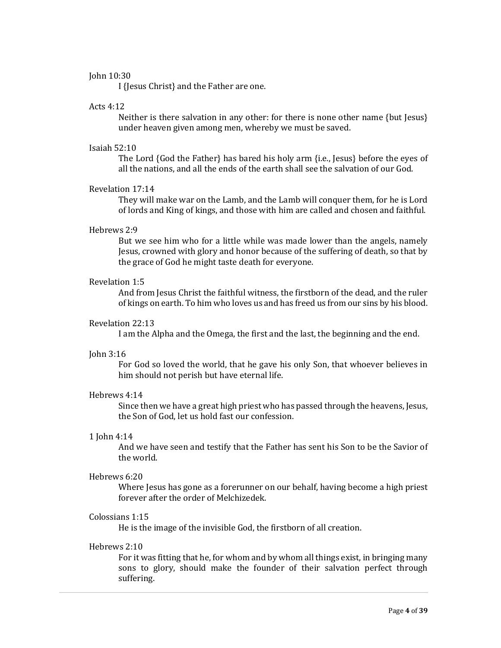#### John 10:30

I {Jesus Christ} and the Father are one.

#### Acts 4:12

Neither is there salvation in any other: for there is none other name  $\{but \, Jesus\}$ under heaven given among men, whereby we must be saved.

#### Isaiah  $52:10$

The Lord  $\{God$  the Father} has bared his holy arm  $\{i.e.,$  Jesus} before the eyes of all the nations, and all the ends of the earth shall see the salvation of our God.

#### Revelation 17:14

They will make war on the Lamb, and the Lamb will conquer them, for he is Lord of lords and King of kings, and those with him are called and chosen and faithful.

#### Hebrews 2:9

But we see him who for a little while was made lower than the angels, namely Jesus, crowned with glory and honor because of the suffering of death, so that by the grace of God he might taste death for everyone.

#### Revelation 1:5

And from Jesus Christ the faithful witness, the firstborn of the dead, and the ruler of kings on earth. To him who loves us and has freed us from our sins by his blood.

#### Revelation 22:13

I am the Alpha and the Omega, the first and the last, the beginning and the end.

#### John 3:16

For God so loved the world, that he gave his only Son, that whoever believes in him should not perish but have eternal life.

#### Hebrews 4:14

Since then we have a great high priest who has passed through the heavens, Jesus, the Son of God, let us hold fast our confession.

#### 1 John 4:14

And we have seen and testify that the Father has sent his Son to be the Savior of the world.

#### Hebrews 6:20

Where Jesus has gone as a forerunner on our behalf, having become a high priest forever after the order of Melchizedek

#### Colossians 1:15

He is the image of the invisible God, the firstborn of all creation.

#### Hebrews 2:10

For it was fitting that he, for whom and by whom all things exist, in bringing many sons to glory, should make the founder of their salvation perfect through suffering.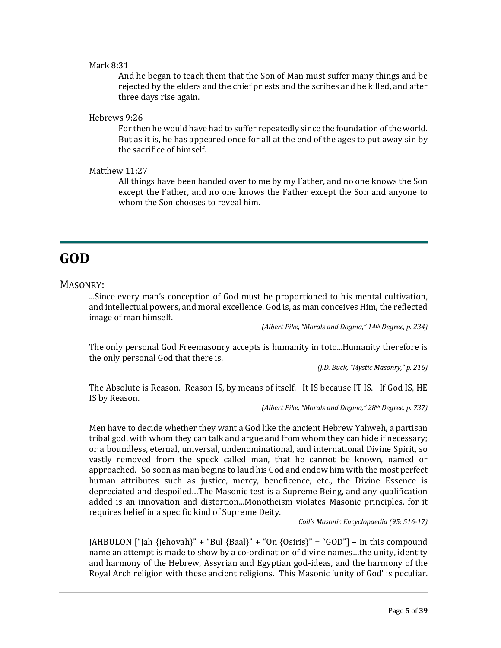#### Mark 8:31

And he began to teach them that the Son of Man must suffer many things and be rejected by the elders and the chief priests and the scribes and be killed, and after three days rise again.

#### Hebrews 9:26

For then he would have had to suffer repeatedly since the foundation of the world. But as it is, he has appeared once for all at the end of the ages to put away sin by the sacrifice of himself.

#### Matthew 11:27

All things have been handed over to me by my Father, and no one knows the Son except the Father, and no one knows the Father except the Son and anyone to whom the Son chooses to reveal him.

## **GOD**

#### MASONRY:

...Since every man's conception of God must be proportioned to his mental cultivation, and intellectual powers, and moral excellence. God is, as man conceives Him, the reflected image of man himself.

*(Albert Pike, "Morals and Dogma,"*  $14$ <sup>th</sup> *Degree, p.* 234)

The only personal God Freemasonry accepts is humanity in toto...Humanity therefore is the only personal God that there is.

*(J.D. Buck, "Mystic Masonry," p. 216)* 

The Absolute is Reason. Reason IS, by means of itself. It IS because IT IS. If God IS, HE IS by Reason.

*(Albert Pike, "Morals and Dogma," 28th Degree. p. 737)*

Men have to decide whether they want a God like the ancient Hebrew Yahweh, a partisan tribal god, with whom they can talk and argue and from whom they can hide if necessary; or a boundless, eternal, universal, undenominational, and international Divine Spirit, so vastly removed from the speck called man, that he cannot be known, named or approached. So soon as man begins to laud his God and endow him with the most perfect human attributes such as justice, mercy, beneficence, etc., the Divine Essence is depreciated and despoiled...The Masonic test is a Supreme Being, and any qualification added is an innovation and distortion...Monotheism violates Masonic principles, for it requires belief in a specific kind of Supreme Deity.

*Coil's Masonic Encyclopaedia (95: 516-17)*

JAHBULON  $\lceil$ "[ah {Jehovah}" + "Bul {Baal}" + "On {Osiris}" = "GOD"] – In this compound name an attempt is made to show by a co-ordination of divine names...the unity, identity and harmony of the Hebrew, Assyrian and Egyptian god-ideas, and the harmony of the Royal Arch religion with these ancient religions. This Masonic 'unity of God' is peculiar.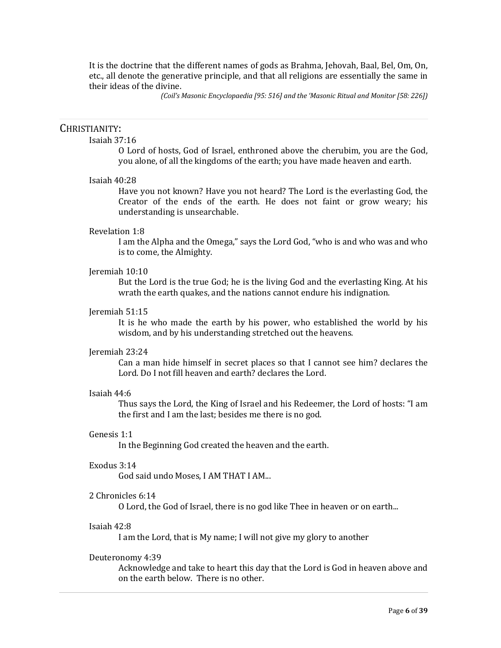It is the doctrine that the different names of gods as Brahma, Jehovah, Baal, Bel, Om, On, etc., all denote the generative principle, and that all religions are essentially the same in their ideas of the divine.

*(Coil's Masonic Encyclopaedia [95: 516] and the 'Masonic Ritual and Monitor [58: 226]*)

#### CHRISTIANITY:

#### Isaiah 37:16

O Lord of hosts, God of Israel, enthroned above the cherubim, you are the God, you alone, of all the kingdoms of the earth; you have made heaven and earth.

#### Isaiah 40:28

Have you not known? Have you not heard? The Lord is the everlasting God, the Creator of the ends of the earth. He does not faint or grow weary; his understanding is unsearchable.

#### Revelation 1:8

I am the Alpha and the Omega," says the Lord God, "who is and who was and who is to come, the Almighty.

#### Jeremiah 10:10

But the Lord is the true God; he is the living God and the everlasting King. At his wrath the earth quakes, and the nations cannot endure his indignation.

#### Jeremiah 51:15

It is he who made the earth by his power, who established the world by his wisdom, and by his understanding stretched out the heavens.

#### Jeremiah 23:24

Can a man hide himself in secret places so that I cannot see him? declares the Lord. Do I not fill heaven and earth? declares the Lord.

#### Isaiah 44:6

Thus says the Lord, the King of Israel and his Redeemer, the Lord of hosts: "I am the first and I am the last; besides me there is no god.

#### Genesis 1:1

In the Beginning God created the heaven and the earth.

#### Exodus 3:14

God said undo Moses, I AM THAT I AM...

#### 2 Chronicles 6:14

O Lord, the God of Israel, there is no god like Thee in heaven or on earth...

#### Isaiah 42:8

I am the Lord, that is My name; I will not give my glory to another

#### Deuteronomy 4:39

Acknowledge and take to heart this day that the Lord is God in heaven above and on the earth below. There is no other.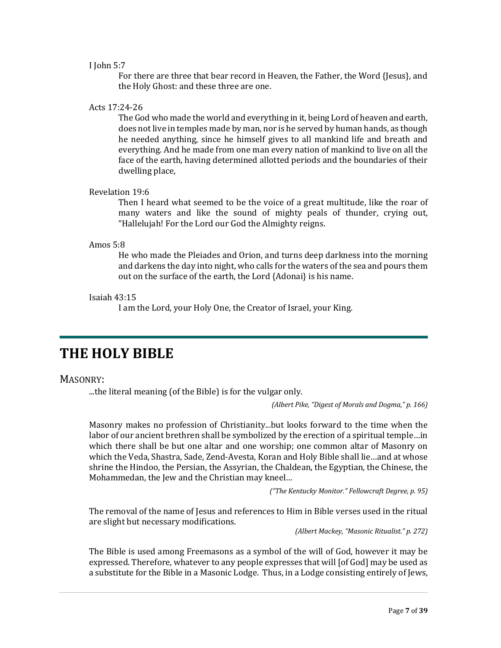#### I Iohn  $5:7$

For there are three that bear record in Heaven, the Father, the Word {Jesus}, and the Holy Ghost: and these three are one.

#### Acts 17:24-26

The God who made the world and everything in it, being Lord of heaven and earth, does not live in temples made by man, nor is he served by human hands, as though he needed anything, since he himself gives to all mankind life and breath and everything. And he made from one man every nation of mankind to live on all the face of the earth, having determined allotted periods and the boundaries of their dwelling place,

#### Revelation 19:6

Then I heard what seemed to be the voice of a great multitude, like the roar of many waters and like the sound of mighty peals of thunder, crying out, "Hallelujah! For the Lord our God the Almighty reigns.

#### Amos  $5:8$

He who made the Pleiades and Orion, and turns deep darkness into the morning and darkens the day into night, who calls for the waters of the sea and pours them out on the surface of the earth, the Lord {Adonai} is his name.

#### Isaiah 43:15

I am the Lord, your Holy One, the Creator of Israel, your King.

### **THE HOLY BIBLE**

#### MASONRY:

...the literal meaning (of the Bible) is for the vulgar only.

*(Albert Pike, "Digest of Morals and Dogma," p. 166)* 

Masonry makes no profession of Christianity...but looks forward to the time when the labor of our ancient brethren shall be symbolized by the erection of a spiritual temple...in which there shall be but one altar and one worship; one common altar of Masonry on which the Veda, Shastra, Sade, Zend-Avesta, Koran and Holy Bible shall lie…and at whose shrine the Hindoo, the Persian, the Assyrian, the Chaldean, the Egyptian, the Chinese, the Mohammedan, the Jew and the Christian may kneel...

*("The Kentucky Monitor." Fellowcraft Degree, p. 95)* 

The removal of the name of Jesus and references to Him in Bible verses used in the ritual are slight but necessary modifications.

*(Albert Mackey, "Masonic Ritualist." p. 272)*

The Bible is used among Freemasons as a symbol of the will of God, however it may be expressed. Therefore, whatever to any people expresses that will [of God] may be used as a substitute for the Bible in a Masonic Lodge. Thus, in a Lodge consisting entirely of Jews,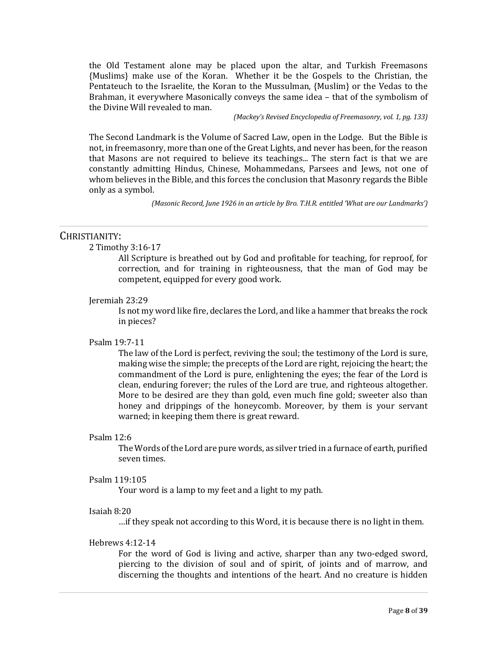the Old Testament alone may be placed upon the altar, and Turkish Freemasons {Muslims} make use of the Koran. Whether it be the Gospels to the Christian, the Pentateuch to the Israelite, the Koran to the Mussulman, {Muslim} or the Vedas to the Brahman, it everywhere Masonically conveys the same idea – that of the symbolism of the Divine Will revealed to man.

*(Mackey's Revised Encyclopedia of Freemasonry, vol. 1, pg. 133)*

The Second Landmark is the Volume of Sacred Law, open in the Lodge. But the Bible is not, in freemasonry, more than one of the Great Lights, and never has been, for the reason that Masons are not required to believe its teachings... The stern fact is that we are constantly admitting Hindus, Chinese, Mohammedans, Parsees and Jews, not one of whom believes in the Bible, and this forces the conclusion that Masonry regards the Bible only as a symbol.

*(Masonic Record, June 1926 in an article by Bro. T.H.R. entitled 'What are our Landmarks')* 

#### CHRISTIANITY:

#### 2 Timothy 3:16-17

All Scripture is breathed out by God and profitable for teaching, for reproof, for correction, and for training in righteousness, that the man of God may be competent, equipped for every good work.

#### Jeremiah 23:29

Is not my word like fire, declares the Lord, and like a hammer that breaks the rock in pieces?

#### Psalm 19:7-11

The law of the Lord is perfect, reviving the soul; the testimony of the Lord is sure, making wise the simple; the precepts of the Lord are right, rejoicing the heart; the commandment of the Lord is pure, enlightening the eyes; the fear of the Lord is clean, enduring forever; the rules of the Lord are true, and righteous altogether. More to be desired are they than gold, even much fine gold; sweeter also than honey and drippings of the honeycomb. Moreover, by them is your servant warned; in keeping them there is great reward.

#### Psalm 12:6

The Words of the Lord are pure words, as silver tried in a furnace of earth, purified seven times.

#### Psalm 119:105

Your word is a lamp to my feet and a light to my path.

#### Isaiah 8:20

... if they speak not according to this Word, it is because there is no light in them.

#### Hebrews 4:12-14

For the word of God is living and active, sharper than any two-edged sword, piercing to the division of soul and of spirit, of joints and of marrow, and discerning the thoughts and intentions of the heart. And no creature is hidden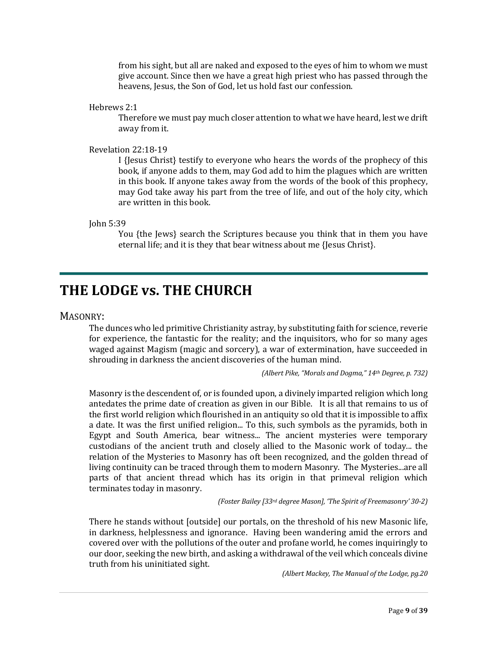from his sight, but all are naked and exposed to the eyes of him to whom we must give account. Since then we have a great high priest who has passed through the heavens, Jesus, the Son of God, let us hold fast our confession.

Hebrews 2:1

Therefore we must pay much closer attention to what we have heard, lest we drift away from it.

Revelation 22:18-19

I {Jesus Christ} testify to everyone who hears the words of the prophecy of this book, if anyone adds to them, may God add to him the plagues which are written in this book. If anyone takes away from the words of the book of this prophecy, may God take away his part from the tree of life, and out of the holy city, which are written in this book.

John 5:39

You {the Jews} search the Scriptures because you think that in them you have eternal life; and it is they that bear witness about me {Jesus Christ}.

### **THE LODGE vs. THE CHURCH**

MASONRY:

The dunces who led primitive Christianity astray, by substituting faith for science, reverie for experience, the fantastic for the reality; and the inquisitors, who for so many ages waged against Magism (magic and sorcery), a war of extermination, have succeeded in shrouding in darkness the ancient discoveries of the human mind.

*(Albert Pike, "Morals and Dogma," 14th Degree, p. 732)*

Masonry is the descendent of, or is founded upon, a divinely imparted religion which long antedates the prime date of creation as given in our Bible. It is all that remains to us of the first world religion which flourished in an antiquity so old that it is impossible to affix a date. It was the first unified religion... To this, such symbols as the pyramids, both in Egypt and South America, bear witness... The ancient mysteries were temporary custodians of the ancient truth and closely allied to the Masonic work of today... the relation of the Mysteries to Masonry has oft been recognized, and the golden thread of living continuity can be traced through them to modern Masonry. The Mysteries...are all parts of that ancient thread which has its origin in that primeval religion which terminates today in masonry.

*(Foster Bailey [33rd degree Mason], 'The Spirit of Freemasonry' 30-2)*

There he stands without [outside] our portals, on the threshold of his new Masonic life, in darkness, helplessness and ignorance. Having been wandering amid the errors and covered over with the pollutions of the outer and profane world, he comes inquiringly to our door, seeking the new birth, and asking a withdrawal of the veil which conceals divine truth from his uninitiated sight.

*(Albert Mackey, The Manual of the Lodge, pg.20*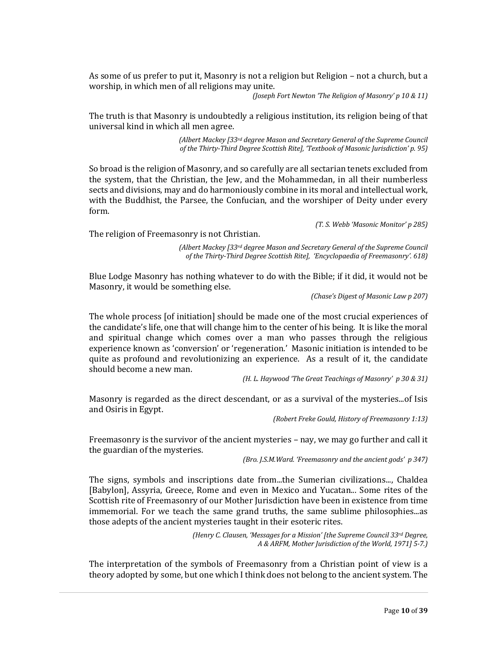As some of us prefer to put it, Masonry is not a religion but Religion – not a church, but a worship, in which men of all religions may unite.

*(Joseph Fort Newton 'The Religion of Masonry' p 10 & 11)*

The truth is that Masonry is undoubtedly a religious institution, its religion being of that universal kind in which all men agree.

> *(Albert Mackey [33rd degree Mason and Secretary General of the Supreme Council of the Thirty-Third Degree Scottish Rite], 'Textbook of Masonic Jurisdiction' p. 95)*

So broad is the religion of Masonry, and so carefully are all sectarian tenets excluded from the system, that the Christian, the Jew, and the Mohammedan, in all their numberless sects and divisions, may and do harmoniously combine in its moral and intellectual work, with the Buddhist, the Parsee, the Confucian, and the worshiper of Deity under every form.

*(T. S. Webb 'Masonic Monitor' p 285)*

The religion of Freemasonry is not Christian.

*(Albert Mackey [33<sup>rd</sup> degree Mason and Secretary General of the Supreme Council of* the Thirty-Third Degree Scottish Rite], 'Encyclopaedia of Freemasonry'. 618)

Blue Lodge Masonry has nothing whatever to do with the Bible; if it did, it would not be Masonry, it would be something else.

*(Chase's Digest of Masonic Law p 207)*

The whole process [of initiation] should be made one of the most crucial experiences of the candidate's life, one that will change him to the center of his being. It is like the moral and spiritual change which comes over a man who passes through the religious experience known as 'conversion' or 'regeneration.' Masonic initiation is intended to be quite as profound and revolutionizing an experience. As a result of it, the candidate should become a new man.

*(H. L. Haywood 'The Great Teachings of Masonry' p 30 & 31)*

Masonry is regarded as the direct descendant, or as a survival of the mysteries...of Isis and Osiris in Egypt.

*(Robert Freke Gould, History of Freemasonry 1:13)* 

Freemasonry is the survivor of the ancient mysteries  $-$  nay, we may go further and call it the guardian of the mysteries.

*(Bro. J.S.M.Ward. 'Freemasonry and the ancient gods' p 347)* 

The signs, symbols and inscriptions date from...the Sumerian civilizations..., Chaldea [Babylon], Assyria, Greece, Rome and even in Mexico and Yucatan... Some rites of the Scottish rite of Freemasonry of our Mother Jurisdiction have been in existence from time immemorial. For we teach the same grand truths, the same sublime philosophies...as those adepts of the ancient mysteries taught in their esoteric rites.

> *(Henry C. Clausen, 'Messages for a Mission' [the Supreme Council 33rd Degree,* A & ARFM, Mother Jurisdiction of the World, 1971] 5-7.)

The interpretation of the symbols of Freemasonry from a Christian point of view is a theory adopted by some, but one which I think does not belong to the ancient system. The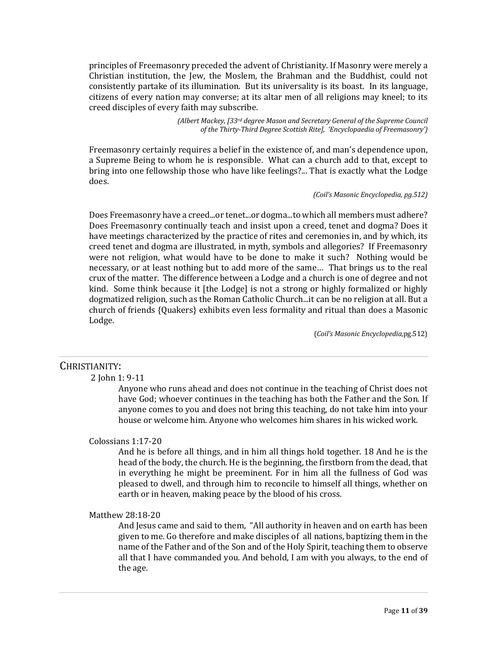principles of Freemasonry preceded the advent of Christianity. If Masonry were merely a Christian institution, the Jew, the Moslem, the Brahman and the Buddhist, could not consistently partake of its illumination. But its universality is its boast. In its language, citizens of every nation may converse; at its altar men of all religions may kneel; to its creed disciples of every faith may subscribe.

> *(Albert Mackey, [33<sup>rd</sup> degree Mason and Secretary General of the Supreme Council of the Thirty-Third Degree Scottish Rite], 'Encyclopaedia of Freemasonry'*)

Freemasonry certainly requires a belief in the existence of, and man's dependence upon, a Supreme Being to whom he is responsible. What can a church add to that, except to bring into one fellowship those who have like feelings?... That is exactly what the Lodge does.

*(Coil's Masonic Encyclopedia, pg.512)*

Does Freemasonry have a creed...or tenet...or dogma...to which all members must adhere? Does Freemasonry continually teach and insist upon a creed, tenet and dogma? Does it have meetings characterized by the practice of rites and ceremonies in, and by which, its creed tenet and dogma are illustrated, in myth, symbols and allegories? If Freemasonry were not religion, what would have to be done to make it such? Nothing would be necessary, or at least nothing but to add more of the same... That brings us to the real crux of the matter. The difference between a Lodge and a church is one of degree and not kind. Some think because it [the Lodge] is not a strong or highly formalized or highly dogmatized religion, such as the Roman Catholic Church...it can be no religion at all. But a church of friends {Quakers} exhibits even less formality and ritual than does a Masonic Lodge.

(*Coil's Masonic Encyclopedia,*pg.512)

#### CHRISTIANITY:

#### 2 John 1: 9-11

Anyone who runs ahead and does not continue in the teaching of Christ does not have God; whoever continues in the teaching has both the Father and the Son. If anyone comes to you and does not bring this teaching, do not take him into your house or welcome him. Anyone who welcomes him shares in his wicked work.

#### Colossians 1:17-20

And he is before all things, and in him all things hold together. 18 And he is the head of the body, the church. He is the beginning, the firstborn from the dead, that in everything he might be preeminent. For in him all the fullness of God was pleased to dwell, and through him to reconcile to himself all things, whether on earth or in heaven, making peace by the blood of his cross.

#### Matthew 28:18-20

And Jesus came and said to them, "All authority in heaven and on earth has been given to me. Go therefore and make disciples of all nations, baptizing them in the name of the Father and of the Son and of the Holy Spirit, teaching them to observe all that I have commanded you. And behold, I am with you always, to the end of the age.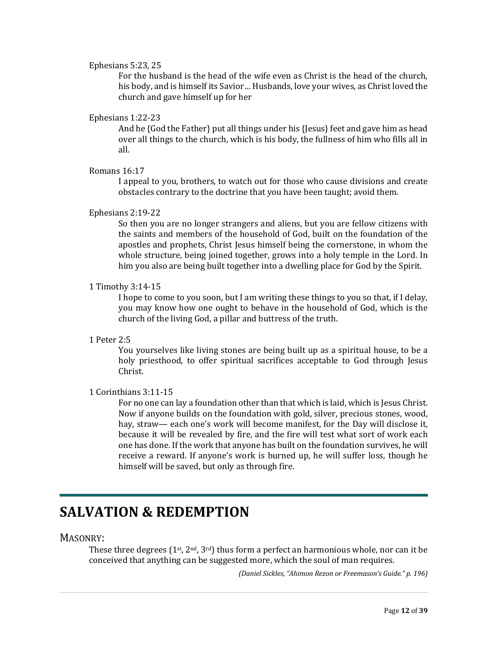#### Ephesians 5:23, 25

For the husband is the head of the wife even as Christ is the head of the church, his body, and is himself its Savior... Husbands, love your wives, as Christ loved the church and gave himself up for her

#### Ephesians 1:22-23

And he  $\{God$  the Father $\}$  put all things under his  $\{Jesus\}$  feet and gave him as head over all things to the church, which is his body, the fullness of him who fills all in all.

#### Romans 16:17

I appeal to you, brothers, to watch out for those who cause divisions and create obstacles contrary to the doctrine that you have been taught; avoid them.

#### Ephesians 2:19-22

So then you are no longer strangers and aliens, but you are fellow citizens with the saints and members of the household of God, built on the foundation of the apostles and prophets, Christ Jesus himself being the cornerstone, in whom the whole structure, being joined together, grows into a holy temple in the Lord. In him you also are being built together into a dwelling place for God by the Spirit.

#### 1 Timothy 3:14-15

I hope to come to you soon, but I am writing these things to you so that, if I delay, you may know how one ought to behave in the household of God, which is the church of the living God, a pillar and buttress of the truth.

#### 1 Peter 2:5

You yourselves like living stones are being built up as a spiritual house, to be a holy priesthood, to offer spiritual sacrifices acceptable to God through Jesus Christ. 

#### 1 Corinthians 3:11-15

For no one can lay a foundation other than that which is laid, which is Jesus Christ. Now if anyone builds on the foundation with gold, silver, precious stones, wood, hay, straw— each one's work will become manifest, for the Day will disclose it, because it will be revealed by fire, and the fire will test what sort of work each one has done. If the work that anyone has built on the foundation survives, he will receive a reward. If anyone's work is burned up, he will suffer loss, though he himself will be saved, but only as through fire.

### **SALVATION & REDEMPTION**

#### MASONRY:

These three degrees  $(1^{st}, 2^{nd}, 3^{rd})$  thus form a perfect an harmonious whole, nor can it be conceived that anything can be suggested more, which the soul of man requires.

*(Daniel Sickles, "Ahimon Rezon or Freemason's Guide." p. 196)*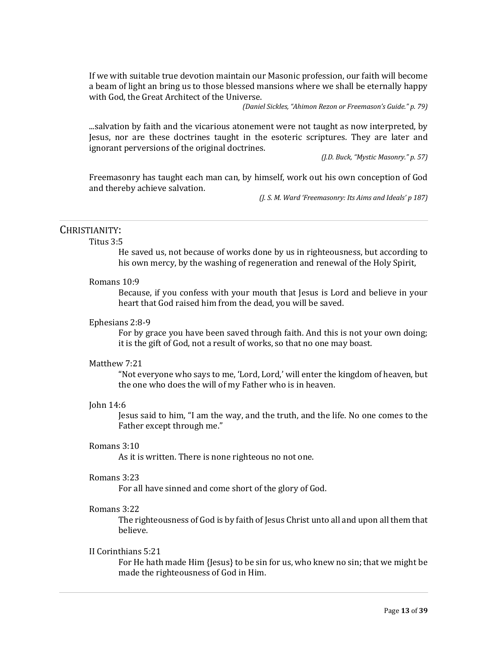If we with suitable true devotion maintain our Masonic profession, our faith will become a beam of light an bring us to those blessed mansions where we shall be eternally happy with God, the Great Architect of the Universe.

*(Daniel Sickles, "Ahimon Rezon or Freemason's Guide." p. 79)* 

...salvation by faith and the vicarious atonement were not taught as now interpreted, by Jesus, nor are these doctrines taught in the esoteric scriptures. They are later and ignorant perversions of the original doctrines.

*(J.D. Buck, "Mystic Masonry." p. 57)*

Freemasonry has taught each man can, by himself, work out his own conception of God and thereby achieve salvation.

*(J. S. M. Ward 'Freemasonry: Its Aims and Ideals' p 187)*

#### CHRISTIANITY:

Titus 3:5

He saved us, not because of works done by us in righteousness, but according to his own mercy, by the washing of regeneration and renewal of the Holy Spirit,

#### Romans 10:9

Because, if you confess with your mouth that Jesus is Lord and believe in your heart that God raised him from the dead, you will be saved.

#### Ephesians 2:8-9

For by grace you have been saved through faith. And this is not your own doing; it is the gift of God, not a result of works, so that no one may boast.

#### Matthew 7:21

"Not everyone who says to me, 'Lord, Lord,' will enter the kingdom of heaven, but the one who does the will of my Father who is in heaven.

#### John  $14:6$

Jesus said to him, "I am the way, and the truth, and the life. No one comes to the Father except through me."

#### Romans 3:10

As it is written. There is none righteous no not one.

#### Romans 3:23

For all have sinned and come short of the glory of God.

#### Romans 3:22

The righteousness of God is by faith of Jesus Christ unto all and upon all them that believe.

#### II Corinthians 5:21

For He hath made Him  ${$ [esus $}$  to be sin for us, who knew no sin; that we might be made the righteousness of God in Him.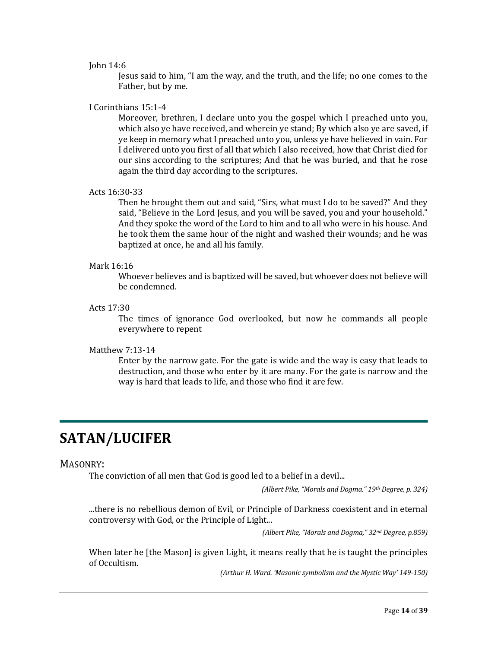#### John 14:6

Jesus said to him, "I am the way, and the truth, and the life; no one comes to the Father, but by me.

#### I Corinthians 15:1-4

Moreover, brethren, I declare unto you the gospel which I preached unto you, which also ye have received, and wherein ye stand; By which also ye are saved, if ye keep in memory what I preached unto you, unless ye have believed in vain. For I delivered unto you first of all that which I also received, how that Christ died for our sins according to the scriptures; And that he was buried, and that he rose again the third day according to the scriptures.

#### Acts 16:30-33

Then he brought them out and said, "Sirs, what must I do to be saved?" And they said, "Believe in the Lord Jesus, and you will be saved, you and your household." And they spoke the word of the Lord to him and to all who were in his house. And he took them the same hour of the night and washed their wounds; and he was baptized at once, he and all his family.

#### Mark 16:16

Whoever believes and is baptized will be saved, but whoever does not believe will be condemned. 

#### Acts 17:30

The times of ignorance God overlooked, but now he commands all people everywhere to repent

#### Matthew 7:13-14

Enter by the narrow gate. For the gate is wide and the way is easy that leads to destruction, and those who enter by it are many. For the gate is narrow and the way is hard that leads to life, and those who find it are few.

## **SATAN/LUCIFER**

#### MASONRY:

The conviction of all men that God is good led to a belief in a devil...

*(Albert Pike, "Morals and Dogma." 19th Degree, p. 324)* 

...there is no rebellious demon of Evil, or Principle of Darkness coexistent and in eternal controversy with God, or the Principle of Light...

*(Albert Pike, "Morals and Dogma," 32nd Degree, p.859)*

When later he [the Mason] is given Light, it means really that he is taught the principles of Occultism.

*(Arthur H. Ward. 'Masonic symbolism and the Mystic Way' 149-150)*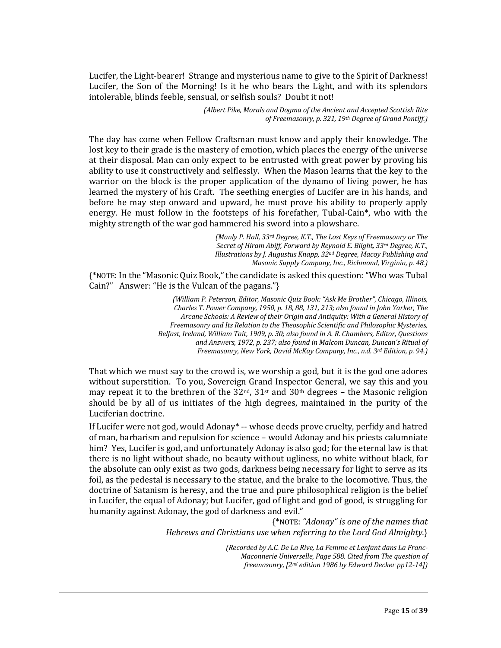Lucifer, the Light-bearer! Strange and mysterious name to give to the Spirit of Darkness! Lucifer, the Son of the Morning! Is it he who bears the Light, and with its splendors intolerable, blinds feeble, sensual, or selfish souls? Doubt it not!

> *(Albert Pike, Morals and Dogma of the Ancient and Accepted Scottish Rite of Freemasonry, p. 321, 19th Degree of Grand Pontiff.)*

The day has come when Fellow Craftsman must know and apply their knowledge. The lost key to their grade is the mastery of emotion, which places the energy of the universe at their disposal. Man can only expect to be entrusted with great power by proving his ability to use it constructively and selflessly. When the Mason learns that the key to the warrior on the block is the proper application of the dynamo of living power, he has learned the mystery of his Craft. The seething energies of Lucifer are in his hands, and before he may step onward and upward, he must prove his ability to properly apply energy. He must follow in the footsteps of his forefather, Tubal-Cain\*, who with the mighty strength of the war god hammered his sword into a plowshare.

> *(Manly P. Hall, 33rd Degree, K.T., The Lost Keys of Freemasonry or The Secret of Hiram Abiff, Forward by Reynold E. Blight, 33rd Degree, K.T., Illustrations by J. Augustus Knapp, 32<sup>nd</sup> Degree, Macoy Publishing and Masonic Supply Company, Inc., Richmond, Virginia, p. 48.)*

{\*NOTE: In the "Masonic Quiz Book," the candidate is asked this question: "Who was Tubal Cain?" Answer: "He is the Vulcan of the pagans."}

> *(William P. Peterson, Editor, Masonic Quiz Book: "Ask Me Brother", Chicago, Illinois, Charles T. Power Company, 1950, p. 18, 88, 131, 213; also found in John Yarker, The*  Arcane Schools: A Review of their Origin and Antiquity: With a General History of *Freemasonry and Its Relation to the Theosophic Scientific and Philosophic Mysteries,* Belfast, Ireland, William Tait, 1909, p. 30; also found in A. R. Chambers, Editor, Questions and Answers, 1972, p. 237; also found in Malcom Duncan, Duncan's Ritual of *Freemasonry, New York, David McKay Company, Inc., n.d. 3rd Edition, p. 94.)*

That which we must say to the crowd is, we worship a god, but it is the god one adores without superstition. To you, Sovereign Grand Inspector General, we say this and you may repeat it to the brethren of the  $32<sup>nd</sup>$ ,  $31<sup>st</sup>$  and  $30<sup>th</sup>$  degrees – the Masonic religion should be by all of us initiates of the high degrees, maintained in the purity of the Luciferian doctrine. 

If Lucifer were not god, would Adonay\*  $-$  whose deeds prove cruelty, perfidy and hatred of man, barbarism and repulsion for science – would Adonay and his priests calumniate him? Yes, Lucifer is god, and unfortunately Adonay is also god; for the eternal law is that there is no light without shade, no beauty without ugliness, no white without black, for the absolute can only exist as two gods, darkness being necessary for light to serve as its foil, as the pedestal is necessary to the statue, and the brake to the locomotive. Thus, the doctrine of Satanism is heresy, and the true and pure philosophical religion is the belief in Lucifer, the equal of Adonay; but Lucifer, god of light and god of good, is struggling for humanity against Adonay, the god of darkness and evil."

> {\*NOTE: *"Adonay" is one of the names that Hebrews and Christians use when referring to the Lord God Almighty.*}

> > (Recorded by A.C. De La Rive, La Femme et Lenfant dans La Franc-*Maconnerie Universelle, Page 588. Cited from The question of freemasonry, [2nd edition 1986 by Edward Decker pp12-14])*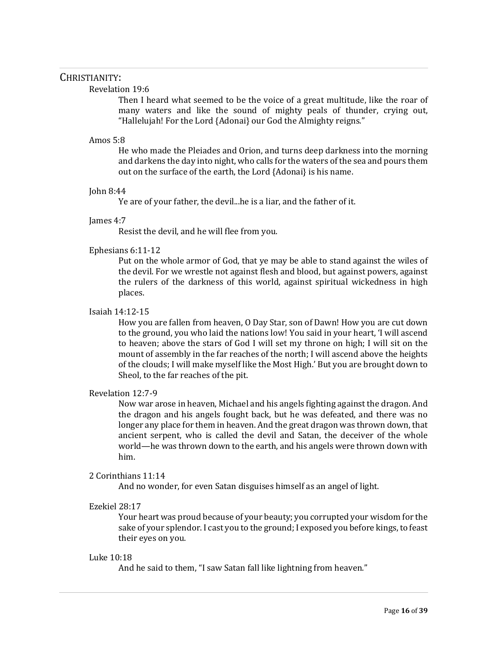#### CHRISTIANITY:

#### Revelation 19:6

Then I heard what seemed to be the voice of a great multitude, like the roar of many waters and like the sound of mighty peals of thunder, crying out, "Hallelujah! For the Lord {Adonai} our God the Almighty reigns."

#### Amos 5:8

He who made the Pleiades and Orion, and turns deep darkness into the morning and darkens the day into night, who calls for the waters of the sea and pours them out on the surface of the earth, the Lord {Adonai} is his name.

#### John 8:44

Ye are of your father, the devil...he is a liar, and the father of it.

#### James 4:7

Resist the devil, and he will flee from you.

#### Ephesians 6:11-12

Put on the whole armor of God, that ye may be able to stand against the wiles of the devil. For we wrestle not against flesh and blood, but against powers, against the rulers of the darkness of this world, against spiritual wickedness in high places.

#### Isaiah 14:12-15

How you are fallen from heaven, O Day Star, son of Dawn! How you are cut down to the ground, you who laid the nations low! You said in your heart, 'I will ascend to heaven; above the stars of God I will set my throne on high; I will sit on the mount of assembly in the far reaches of the north; I will ascend above the heights of the clouds; I will make myself like the Most High.' But you are brought down to Sheol, to the far reaches of the pit.

#### Revelation 12:7-9

Now war arose in heaven, Michael and his angels fighting against the dragon. And the dragon and his angels fought back, but he was defeated, and there was no longer any place for them in heaven. And the great dragon was thrown down, that ancient serpent, who is called the devil and Satan, the deceiver of the whole world—he was thrown down to the earth, and his angels were thrown down with him.

#### 2 Corinthians 11:14

And no wonder, for even Satan disguises himself as an angel of light.

#### Ezekiel 28:17

Your heart was proud because of your beauty; you corrupted your wisdom for the sake of your splendor. I cast you to the ground; I exposed you before kings, to feast their eyes on you.

#### Luke 10:18

And he said to them, "I saw Satan fall like lightning from heaven."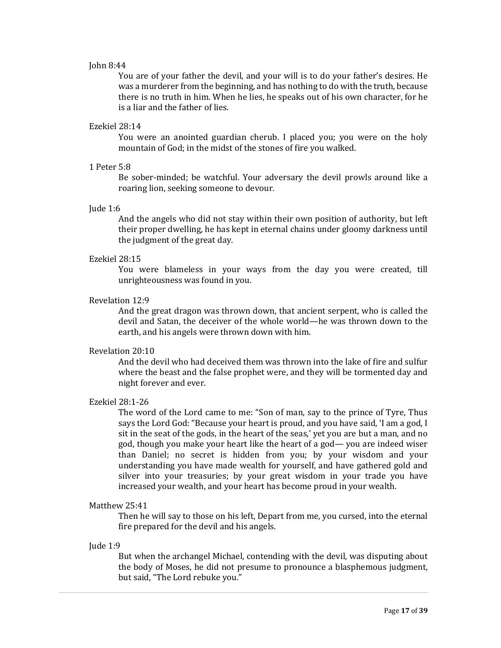#### John 8:44

You are of your father the devil, and your will is to do your father's desires. He was a murderer from the beginning, and has nothing to do with the truth, because there is no truth in him. When he lies, he speaks out of his own character, for he is a liar and the father of lies.

#### Ezekiel 28:14

You were an anointed guardian cherub. I placed you; you were on the holy mountain of God; in the midst of the stones of fire you walked.

#### 1 Peter 5:8

Be sober-minded; be watchful. Your adversary the devil prowls around like a roaring lion, seeking someone to devour.

#### Jude  $1:6$

And the angels who did not stay within their own position of authority, but left their proper dwelling, he has kept in eternal chains under gloomy darkness until the judgment of the great day.

#### Ezekiel 28:15

You were blameless in your ways from the day you were created, till unrighteousness was found in you.

#### Revelation 12:9

And the great dragon was thrown down, that ancient serpent, who is called the devil and Satan, the deceiver of the whole world—he was thrown down to the earth, and his angels were thrown down with him.

#### Revelation 20:10

And the devil who had deceived them was thrown into the lake of fire and sulfur where the beast and the false prophet were, and they will be tormented day and night forever and ever.

#### Ezekiel 28:1-26

The word of the Lord came to me: "Son of man, say to the prince of Tyre, Thus says the Lord God: "Because your heart is proud, and you have said, 'I am a god, I sit in the seat of the gods, in the heart of the seas,' yet you are but a man, and no god, though you make your heart like the heart of a god— you are indeed wiser than Daniel; no secret is hidden from you; by your wisdom and your understanding you have made wealth for yourself, and have gathered gold and silver into your treasuries; by your great wisdom in your trade you have increased your wealth, and your heart has become proud in your wealth.

#### Matthew 25:41

Then he will say to those on his left, Depart from me, you cursed, into the eternal fire prepared for the devil and his angels.

#### Jude 1:9

But when the archangel Michael, contending with the devil, was disputing about the body of Moses, he did not presume to pronounce a blasphemous judgment, but said, "The Lord rebuke you."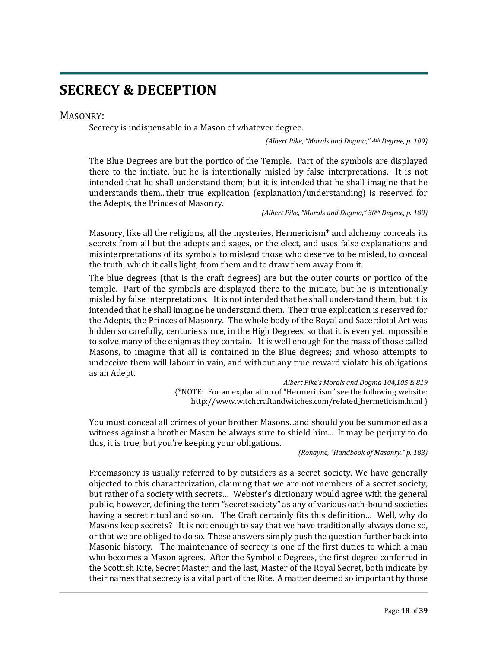## **SECRECY & DECEPTION**

MASONRY:

Secrecy is indispensable in a Mason of whatever degree.

*(Albert Pike, "Morals and Dogma,"*  $4$ <sup>th</sup> *Degree, p. 109)* 

The Blue Degrees are but the portico of the Temple. Part of the symbols are displayed there to the initiate, but he is intentionally misled by false interpretations. It is not intended that he shall understand them; but it is intended that he shall imagine that he understands them...their true explication  $\{ \text{explanation/understanding} \}$  is reserved for the Adepts, the Princes of Masonry.

*(Albert Pike, "Morals and Dogma," 30th Degree, p. 189)* 

Masonry, like all the religions, all the mysteries, Hermericism<sup>\*</sup> and alchemy conceals its secrets from all but the adepts and sages, or the elect, and uses false explanations and misinterpretations of its symbols to mislead those who deserve to be misled, to conceal the truth, which it calls light, from them and to draw them away from it.

The blue degrees (that is the craft degrees) are but the outer courts or portico of the temple. Part of the symbols are displayed there to the initiate, but he is intentionally misled by false interpretations. It is not intended that he shall understand them, but it is intended that he shall imagine he understand them. Their true explication is reserved for the Adepts, the Princes of Masonry. The whole body of the Royal and Sacerdotal Art was hidden so carefully, centuries since, in the High Degrees, so that it is even yet impossible to solve many of the enigmas they contain. It is well enough for the mass of those called Masons, to imagine that all is contained in the Blue degrees; and whoso attempts to undeceive them will labour in vain, and without any true reward violate his obligations as an Adept.

Albert Pike's Morals and Dogma 104,105 & 819 {\*NOTE: For an explanation of "Hermericism" see the following website: http://www.witchcraftandwitches.com/related\_hermeticism.html }

You must conceal all crimes of your brother Masons...and should you be summoned as a witness against a brother Mason be always sure to shield him... It may be perjury to do this, it is true, but you're keeping your obligations.

*(Ronayne, "Handbook of Masonry." p. 183)* 

Freemasonry is usually referred to by outsiders as a secret society. We have generally objected to this characterization, claiming that we are not members of a secret society, but rather of a society with secrets... Webster's dictionary would agree with the general public, however, defining the term "secret society" as any of various oath-bound societies having a secret ritual and so on. The Craft certainly fits this definition... Well, why do Masons keep secrets? It is not enough to say that we have traditionally always done so, or that we are obliged to do so. These answers simply push the question further back into Masonic history. The maintenance of secrecy is one of the first duties to which a man who becomes a Mason agrees. After the Symbolic Degrees, the first degree conferred in the Scottish Rite, Secret Master, and the last, Master of the Royal Secret, both indicate by their names that secrecy is a vital part of the Rite. A matter deemed so important by those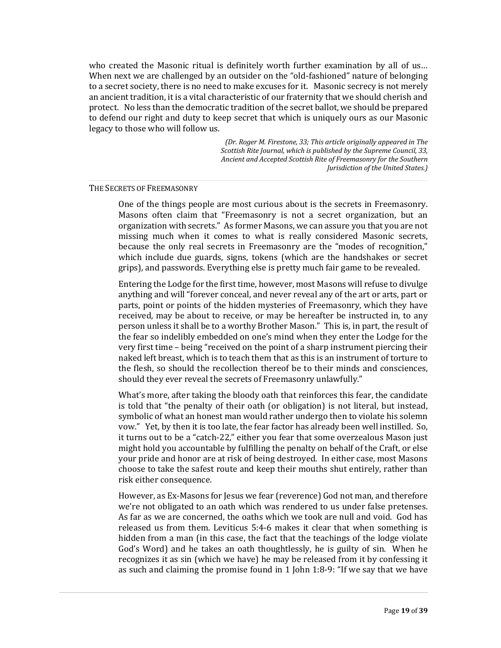who created the Masonic ritual is definitely worth further examination by all of us... When next we are challenged by an outsider on the "old-fashioned" nature of belonging to a secret society, there is no need to make excuses for it. Masonic secrecy is not merely an ancient tradition, it is a vital characteristic of our fraternity that we should cherish and protect. No less than the democratic tradition of the secret ballot, we should be prepared to defend our right and duty to keep secret that which is uniquely ours as our Masonic legacy to those who will follow us.

> *(Dr. Roger M. Firestone, 33; This article originally appeared in The* Scottish Rite Journal, which is published by the Supreme Council, 33, Ancient and Accepted Scottish Rite of Freemasonry for the Southern *Jurisdiction of the United States.*)

#### THE SECRETS OF FREEMASONRY

One of the things people are most curious about is the secrets in Freemasonry. Masons often claim that "Freemasonry is not a secret organization, but an organization with secrets." As former Masons, we can assure you that you are not missing much when it comes to what is really considered Masonic secrets, because the only real secrets in Freemasonry are the "modes of recognition," which include due guards, signs, tokens (which are the handshakes or secret grips), and passwords. Everything else is pretty much fair game to be revealed.

Entering the Lodge for the first time, however, most Masons will refuse to divulge anything and will "forever conceal, and never reveal any of the art or arts, part or parts, point or points of the hidden mysteries of Freemasonry, which they have received, may be about to receive, or may be hereafter be instructed in, to any person unless it shall be to a worthy Brother Mason." This is, in part, the result of the fear so indelibly embedded on one's mind when they enter the Lodge for the very first time – being "received on the point of a sharp instrument piercing their naked left breast, which is to teach them that as this is an instrument of torture to the flesh, so should the recollection thereof be to their minds and consciences, should they ever reveal the secrets of Freemasonry unlawfully."

What's more, after taking the bloody oath that reinforces this fear, the candidate is told that "the penalty of their oath (or obligation) is not literal, but instead, symbolic of what an honest man would rather undergo then to violate his solemn vow." Yet, by then it is too late, the fear factor has already been well instilled. So, it turns out to be a "catch-22," either you fear that some overzealous Mason just might hold you accountable by fulfilling the penalty on behalf of the Craft, or else your pride and honor are at risk of being destroyed. In either case, most Masons choose to take the safest route and keep their mouths shut entirely, rather than risk either consequence.

However, as Ex-Masons for Jesus we fear (reverence) God not man, and therefore we're not obligated to an oath which was rendered to us under false pretenses. As far as we are concerned, the oaths which we took are null and void. God has released us from them. Leviticus  $5:4-6$  makes it clear that when something is hidden from a man (in this case, the fact that the teachings of the lodge violate God's Word) and he takes an oath thoughtlessly, he is guilty of sin. When he recognizes it as sin (which we have) he may be released from it by confessing it as such and claiming the promise found in  $1$  John  $1:8-9$ : "If we say that we have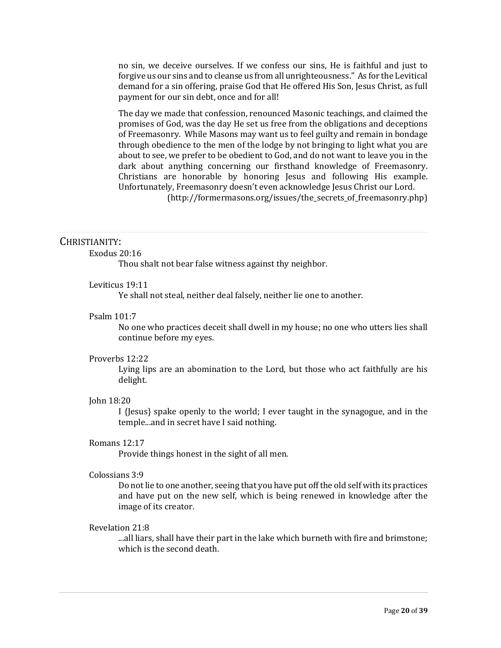no sin, we deceive ourselves. If we confess our sins, He is faithful and just to forgive us our sins and to cleanse us from all unrighteousness." As for the Levitical demand for a sin offering, praise God that He offered His Son, Jesus Christ, as full payment for our sin debt, once and for all!

The day we made that confession, renounced Masonic teachings, and claimed the promises of God, was the day He set us free from the obligations and deceptions of Freemasonry. While Masons may want us to feel guilty and remain in bondage through obedience to the men of the lodge by not bringing to light what you are about to see, we prefer to be obedient to God, and do not want to leave you in the dark about anything concerning our firsthand knowledge of Freemasonry. Christians are honorable by honoring Jesus and following His example. Unfortunately, Freemasonry doesn't even acknowledge Jesus Christ our Lord. (http://formermasons.org/issues/the\_secrets\_of\_freemasonry.php)

#### CHRISTIANITY:

#### Exodus 20:16

Thou shalt not bear false witness against thy neighbor.

#### Leviticus 19:11

Ye shall not steal, neither deal falsely, neither lie one to another.

#### Psalm 101:7

No one who practices deceit shall dwell in my house; no one who utters lies shall continue before my eyes.

#### Proverbs 12:22

Lying lips are an abomination to the Lord, but those who act faithfully are his delight. 

#### John 18:20

I { $\text{[lessus]}$  spake openly to the world; I ever taught in the synagogue, and in the temple...and in secret have I said nothing.

#### Romans 12:17

Provide things honest in the sight of all men.

#### Colossians 3:9

Do not lie to one another, seeing that you have put off the old self with its practices and have put on the new self, which is being renewed in knowledge after the image of its creator.

#### Revelation 21:8

...all liars, shall have their part in the lake which burneth with fire and brimstone; which is the second death.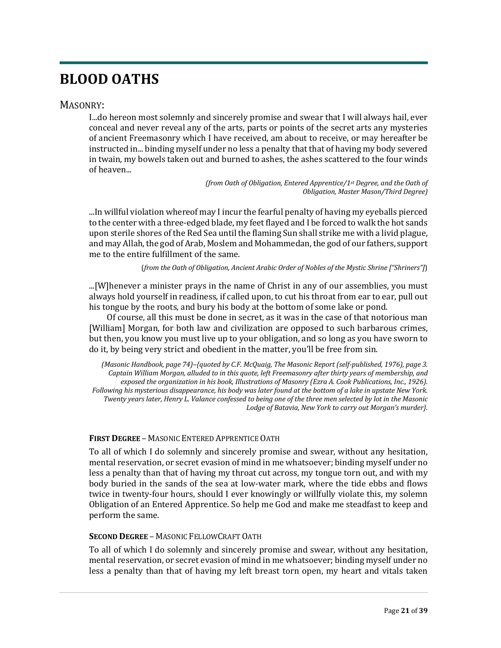## **BLOOD OATHS**

#### MASONRY:

I...do hereon most solemnly and sincerely promise and swear that I will always hail, ever conceal and never reveal any of the arts, parts or points of the secret arts any mysteries of ancient Freemasonry which I have received, am about to receive, or may hereafter be instructed in... binding myself under no less a penalty that that of having my body severed in twain, my bowels taken out and burned to ashes, the ashes scattered to the four winds of heaven...

> *(from Oath of Obligation, Entered Apprentice/1st Degree, and the Oath of Obligation, Master Mason/Third Degree)*

...In willful violation whereof may I incur the fearful penalty of having my eyeballs pierced to the center with a three-edged blade, my feet flayed and I be forced to walk the hot sands upon sterile shores of the Red Sea until the flaming Sun shall strike me with a livid plague, and may Allah, the god of Arab, Moslem and Mohammedan, the god of our fathers, support me to the entire fulfillment of the same.

(from the Oath of Obligation, Ancient Arabic Order of Nobles of the Mystic Shrine ["Shriners"])

...[W]henever a minister prays in the name of Christ in any of our assemblies, you must always hold yourself in readiness, if called upon, to cut his throat from ear to ear, pull out his tongue by the roots, and bury his body at the bottom of some lake or pond.

Of course, all this must be done in secret, as it was in the case of that notorious man [William] Morgan, for both law and civilization are opposed to such barbarous crimes, but then, you know you must live up to your obligation, and so long as you have sworn to do it, by being very strict and obedient in the matter, you'll be free from sin.

*(Masonic Handbook, page 74)–{quoted by C.F. McQuaig, The Masonic Report (self-published, 1976), page 3.* Captain William Morgan, alluded to in this quote, left Freemasonry after thirty years of membership, and exposed the organization in his book, Illustrations of Masonry (Ezra A. Cook Publications, Inc., 1926). *Following his mysterious disappearance, his body was later found at the bottom of a lake in upstate New York. Twenty years later, Henry L. Valance confessed to being one of the three men selected by lot in the Masonic Lodge of Batavia, New York to carry out Morgan's murder*}.

#### **FIRST DEGREE - MASONIC ENTERED APPRENTICE OATH**

To all of which I do solemnly and sincerely promise and swear, without any hesitation, mental reservation, or secret evasion of mind in me whatsoever; binding myself under no less a penalty than that of having my throat cut across, my tongue torn out, and with my body buried in the sands of the sea at low-water mark, where the tide ebbs and flows twice in twenty-four hours, should I ever knowingly or willfully violate this, my solemn Obligation of an Entered Apprentice. So help me God and make me steadfast to keep and perform the same.

#### **SECOND DEGREE - MASONIC FELLOWCRAFT OATH**

To all of which I do solemnly and sincerely promise and swear, without any hesitation, mental reservation, or secret evasion of mind in me whatsoever; binding myself under no less a penalty than that of having my left breast torn open, my heart and vitals taken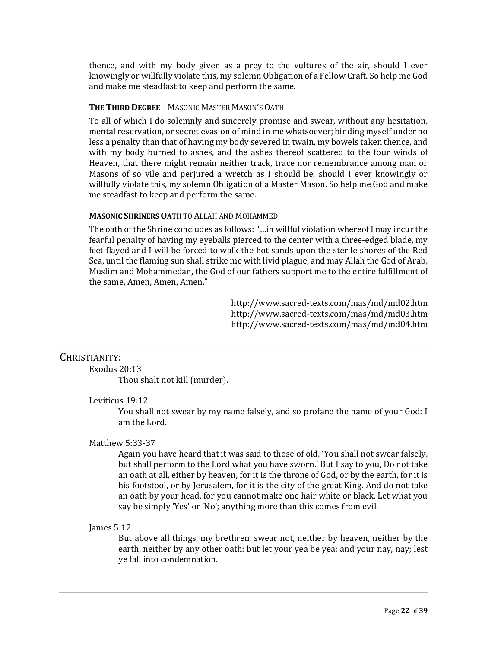thence, and with my body given as a prey to the vultures of the air, should I ever knowingly or willfully violate this, my solemn Obligation of a Fellow Craft. So help me God and make me steadfast to keep and perform the same.

#### **THE THIRD DEGREE - MASONIC MASTER MASON'S OATH**

To all of which I do solemnly and sincerely promise and swear, without any hesitation, mental reservation, or secret evasion of mind in me whatsoever; binding myself under no less a penalty than that of having my body severed in twain, my bowels taken thence, and with my body burned to ashes, and the ashes thereof scattered to the four winds of Heaven, that there might remain neither track, trace nor remembrance among man or Masons of so vile and perjured a wretch as I should be, should I ever knowingly or willfully violate this, my solemn Obligation of a Master Mason. So help me God and make me steadfast to keep and perform the same.

#### **MASONIC SHRINERS OATH** TO ALLAH AND MOHAMMED

The oath of the Shrine concludes as follows: "...in willful violation whereof I may incur the fearful penalty of having my eyeballs pierced to the center with a three-edged blade, my feet flayed and I will be forced to walk the hot sands upon the sterile shores of the Red Sea, until the flaming sun shall strike me with livid plague, and may Allah the God of Arab, Muslim and Mohammedan, the God of our fathers support me to the entire fulfillment of the same, Amen, Amen, Amen."

> http://www.sacred-texts.com/mas/md/md02.htm http://www.sacred-texts.com/mas/md/md03.htm http://www.sacred-texts.com/mas/md/md04.htm

#### CHRISTIANITY:

Exodus 20:13

Thou shalt not kill (murder).

#### Leviticus 19:12

You shall not swear by my name falsely, and so profane the name of your God: I am the Lord.

#### Matthew 5:33-37

Again you have heard that it was said to those of old, 'You shall not swear falsely, but shall perform to the Lord what you have sworn.' But I say to you, Do not take an oath at all, either by heaven, for it is the throne of God, or by the earth, for it is his footstool, or by Jerusalem, for it is the city of the great King. And do not take an oath by your head, for you cannot make one hair white or black. Let what you say be simply 'Yes' or 'No'; anything more than this comes from evil.

#### James 5:12

But above all things, my brethren, swear not, neither by heaven, neither by the earth, neither by any other oath: but let your yea be yea; and your nay, nay; lest ye fall into condemnation.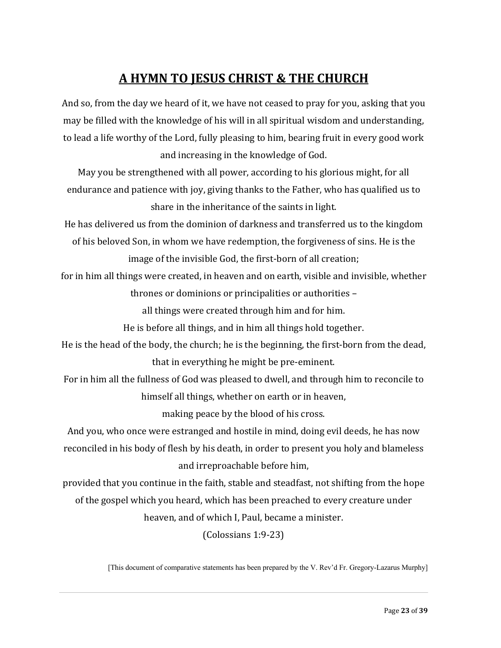### **A HYMN TO JESUS CHRIST & THE CHURCH**

And so, from the day we heard of it, we have not ceased to pray for you, asking that you may be filled with the knowledge of his will in all spiritual wisdom and understanding, to lead a life worthy of the Lord, fully pleasing to him, bearing fruit in every good work and increasing in the knowledge of God.

May you be strengthened with all power, according to his glorious might, for all endurance and patience with joy, giving thanks to the Father, who has qualified us to share in the inheritance of the saints in light.

He has delivered us from the dominion of darkness and transferred us to the kingdom of his beloved Son, in whom we have redemption, the forgiveness of sins. He is the image of the invisible God, the first-born of all creation;

for in him all things were created, in heaven and on earth, visible and invisible, whether thrones or dominions or principalities or authorities -

all things were created through him and for him.

He is before all things, and in him all things hold together.

He is the head of the body, the church; he is the beginning, the first-born from the dead, that in everything he might be pre-eminent.

For in him all the fullness of God was pleased to dwell, and through him to reconcile to himself all things, whether on earth or in heaven,

making peace by the blood of his cross.

And you, who once were estranged and hostile in mind, doing evil deeds, he has now reconciled in his body of flesh by his death, in order to present you holy and blameless and irreproachable before him,

provided that you continue in the faith, stable and steadfast, not shifting from the hope of the gospel which you heard, which has been preached to every creature under heaven, and of which I, Paul, became a minister.

(Colossians 1:9-23)

[This document of comparative statements has been prepared by the V. Rev'd Fr. Gregory-Lazarus Murphy]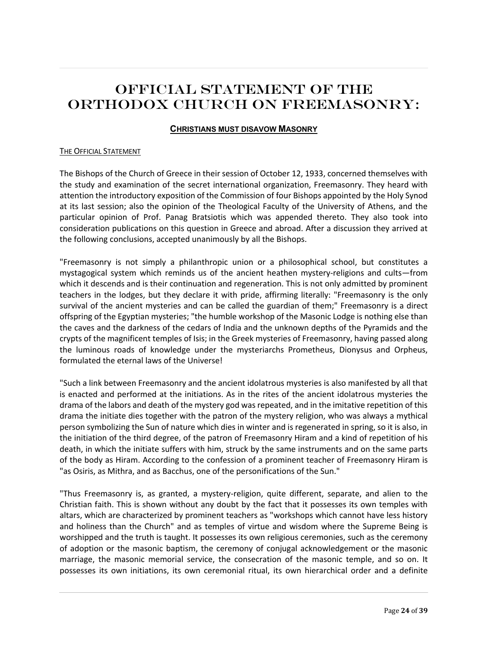## Official Statement of the Orthodox Church on Freemasonry:

#### **CHRISTIANS MUST DISAVOW MASONRY**

#### THE OFFICIAL STATEMENT

The Bishops of the Church of Greece in their session of October 12, 1933, concerned themselves with the study and examination of the secret international organization, Freemasonry. They heard with attention the introductory exposition of the Commission of four Bishops appointed by the Holy Synod at its last session; also the opinion of the Theological Faculty of the University of Athens, and the particular opinion of Prof. Panag Bratsiotis which was appended thereto. They also took into consideration publications on this question in Greece and abroad. After a discussion they arrived at the following conclusions, accepted unanimously by all the Bishops.

"Freemasonry is not simply a philanthropic union or a philosophical school, but constitutes a mystagogical system which reminds us of the ancient heathen mystery-religions and cults—from which it descends and is their continuation and regeneration. This is not only admitted by prominent teachers in the lodges, but they declare it with pride, affirming literally: "Freemasonry is the only survival of the ancient mysteries and can be called the guardian of them;" Freemasonry is a direct offspring of the Egyptian mysteries; "the humble workshop of the Masonic Lodge is nothing else than the caves and the darkness of the cedars of India and the unknown depths of the Pyramids and the crypts of the magnificent temples of Isis; in the Greek mysteries of Freemasonry, having passed along the luminous roads of knowledge under the mysteriarchs Prometheus, Dionysus and Orpheus, formulated the eternal laws of the Universe!

"Such a link between Freemasonry and the ancient idolatrous mysteries is also manifested by all that is enacted and performed at the initiations. As in the rites of the ancient idolatrous mysteries the drama of the labors and death of the mystery god was repeated, and in the imitative repetition of this drama the initiate dies together with the patron of the mystery religion, who was always a mythical person symbolizing the Sun of nature which dies in winter and is regenerated in spring, so it is also, in the initiation of the third degree, of the patron of Freemasonry Hiram and a kind of repetition of his death, in which the initiate suffers with him, struck by the same instruments and on the same parts of the body as Hiram. According to the confession of a prominent teacher of Freemasonry Hiram is "as Osiris, as Mithra, and as Bacchus, one of the personifications of the Sun."

"Thus Freemasonry is, as granted, a mystery-religion, quite different, separate, and alien to the Christian faith. This is shown without any doubt by the fact that it possesses its own temples with altars, which are characterized by prominent teachers as "workshops which cannot have less history and holiness than the Church" and as temples of virtue and wisdom where the Supreme Being is worshipped and the truth is taught. It possesses its own religious ceremonies, such as the ceremony of adoption or the masonic baptism, the ceremony of conjugal acknowledgement or the masonic marriage, the masonic memorial service, the consecration of the masonic temple, and so on. It possesses its own initiations, its own ceremonial ritual, its own hierarchical order and a definite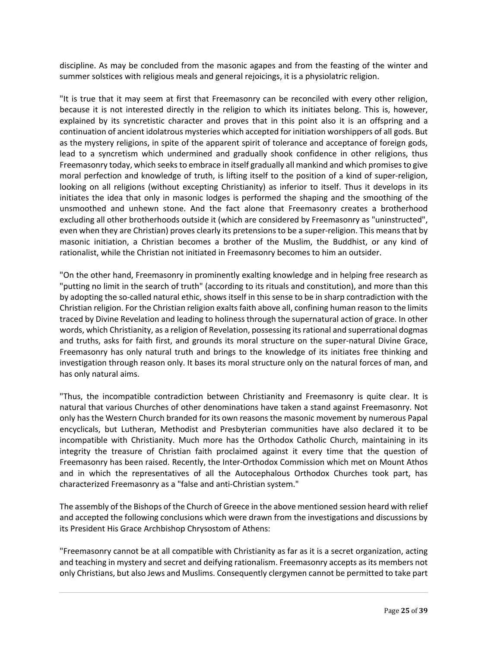discipline. As may be concluded from the masonic agapes and from the feasting of the winter and summer solstices with religious meals and general rejoicings, it is a physiolatric religion.

"It is true that it may seem at first that Freemasonry can be reconciled with every other religion, because it is not interested directly in the religion to which its initiates belong. This is, however, explained by its syncretistic character and proves that in this point also it is an offspring and a continuation of ancient idolatrous mysteries which accepted for initiation worshippers of all gods. But as the mystery religions, in spite of the apparent spirit of tolerance and acceptance of foreign gods, lead to a syncretism which undermined and gradually shook confidence in other religions, thus Freemasonry today, which seeks to embrace in itself gradually all mankind and which promises to give moral perfection and knowledge of truth, is lifting itself to the position of a kind of super-religion, looking on all religions (without excepting Christianity) as inferior to itself. Thus it develops in its initiates the idea that only in masonic lodges is performed the shaping and the smoothing of the unsmoothed and unhewn stone. And the fact alone that Freemasonry creates a brotherhood excluding all other brotherhoods outside it (which are considered by Freemasonry as "uninstructed", even when they are Christian) proves clearly its pretensions to be a super-religion. This means that by masonic initiation, a Christian becomes a brother of the Muslim, the Buddhist, or any kind of rationalist, while the Christian not initiated in Freemasonry becomes to him an outsider.

"On the other hand, Freemasonry in prominently exalting knowledge and in helping free research as "putting no limit in the search of truth" (according to its rituals and constitution), and more than this by adopting the so-called natural ethic, shows itself in this sense to be in sharp contradiction with the Christian religion. For the Christian religion exalts faith above all, confining human reason to the limits traced by Divine Revelation and leading to holiness through the supernatural action of grace. In other words, which Christianity, as a religion of Revelation, possessing its rational and superrational dogmas and truths, asks for faith first, and grounds its moral structure on the super-natural Divine Grace, Freemasonry has only natural truth and brings to the knowledge of its initiates free thinking and investigation through reason only. It bases its moral structure only on the natural forces of man, and has only natural aims.

"Thus, the incompatible contradiction between Christianity and Freemasonry is quite clear. It is natural that various Churches of other denominations have taken a stand against Freemasonry. Not only has the Western Church branded for its own reasons the masonic movement by numerous Papal encyclicals, but Lutheran, Methodist and Presbyterian communities have also declared it to be incompatible with Christianity. Much more has the Orthodox Catholic Church, maintaining in its integrity the treasure of Christian faith proclaimed against it every time that the question of Freemasonry has been raised. Recently, the Inter-Orthodox Commission which met on Mount Athos and in which the representatives of all the Autocephalous Orthodox Churches took part, has characterized Freemasonry as a "false and anti-Christian system."

The assembly of the Bishops of the Church of Greece in the above mentioned session heard with relief and accepted the following conclusions which were drawn from the investigations and discussions by its President His Grace Archbishop Chrysostom of Athens:

"Freemasonry cannot be at all compatible with Christianity as far as it is a secret organization, acting and teaching in mystery and secret and deifying rationalism. Freemasonry accepts as its members not only Christians, but also Jews and Muslims. Consequently clergymen cannot be permitted to take part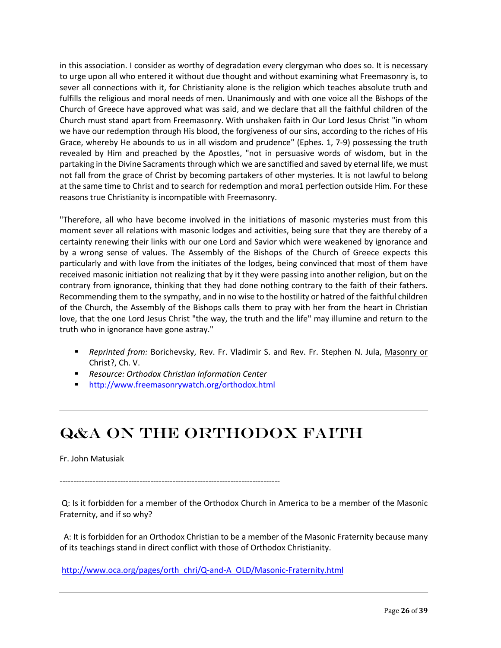in this association. I consider as worthy of degradation every clergyman who does so. It is necessary to urge upon all who entered it without due thought and without examining what Freemasonry is, to sever all connections with it, for Christianity alone is the religion which teaches absolute truth and fulfills the religious and moral needs of men. Unanimously and with one voice all the Bishops of the Church of Greece have approved what was said, and we declare that all the faithful children of the Church must stand apart from Freemasonry. With unshaken faith in Our Lord Jesus Christ "in whom we have our redemption through His blood, the forgiveness of our sins, according to the riches of His Grace, whereby He abounds to us in all wisdom and prudence" (Ephes. 1, 7-9) possessing the truth revealed by Him and preached by the Apostles, "not in persuasive words of wisdom, but in the partaking in the Divine Sacraments through which we are sanctified and saved by eternal life, we must not fall from the grace of Christ by becoming partakers of other mysteries. It is not lawful to belong at the same time to Christ and to search for redemption and mora1 perfection outside Him. For these reasons true Christianity is incompatible with Freemasonry.

"Therefore, all who have become involved in the initiations of masonic mysteries must from this moment sever all relations with masonic lodges and activities, being sure that they are thereby of a certainty renewing their links with our one Lord and Savior which were weakened by ignorance and by a wrong sense of values. The Assembly of the Bishops of the Church of Greece expects this particularly and with love from the initiates of the lodges, being convinced that most of them have received masonic initiation not realizing that by it they were passing into another religion, but on the contrary from ignorance, thinking that they had done nothing contrary to the faith of their fathers. Recommending them to the sympathy, and in no wise to the hostility or hatred of the faithful children of the Church, the Assembly of the Bishops calls them to pray with her from the heart in Christian love, that the one Lord Jesus Christ "the way, the truth and the life" may illumine and return to the truth who in ignorance have gone astray."

- *Reprinted from:* Borichevsky, Rev. Fr. Vladimir S. and Rev. Fr. Stephen N. Jula, Masonry or Christ?, Ch. V.
- **Resource: Orthodox Christian Information Center**
- § http://www.freemasonrywatch.org/orthodox.html

## Q&A ON THE ORTHODOX FAITH

Fr. John Matusiak

--------------------------------------------------------------------------------

Q: Is it forbidden for a member of the Orthodox Church in America to be a member of the Masonic Fraternity, and if so why?

 A: It is forbidden for an Orthodox Christian to be a member of the Masonic Fraternity because many of its teachings stand in direct conflict with those of Orthodox Christianity.

http://www.oca.org/pages/orth\_chri/Q-and-A\_OLD/Masonic-Fraternity.html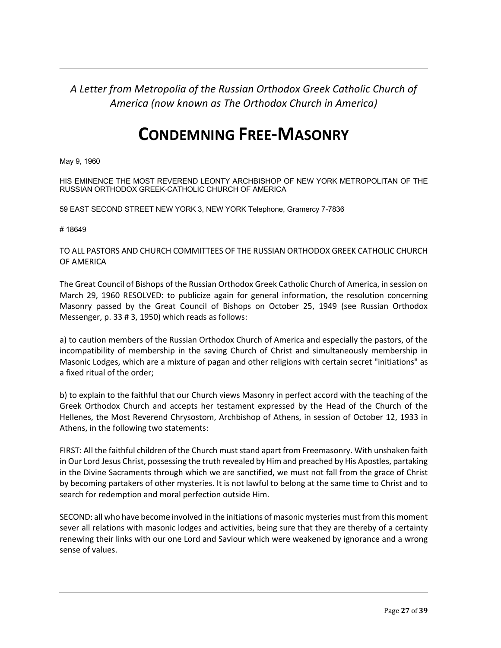### *A Letter from Metropolia of the Russian Orthodox Greek Catholic Church of America (now known as The Orthodox Church in America)*

## **CONDEMNING FREE-MASONRY**

May 9, 1960

HIS EMINENCE THE MOST REVEREND LEONTY ARCHBISHOP OF NEW YORK METROPOLITAN OF THE RUSSIAN ORTHODOX GREEK-CATHOLIC CHURCH OF AMERICA

59 EAST SECOND STREET NEW YORK 3, NEW YORK Telephone, Gramercy 7-7836

# 18649

TO ALL PASTORS AND CHURCH COMMITTEES OF THE RUSSIAN ORTHODOX GREEK CATHOLIC CHURCH OF AMERICA

The Great Council of Bishops of the Russian Orthodox Greek Catholic Church of America, in session on March 29, 1960 RESOLVED: to publicize again for general information, the resolution concerning Masonry passed by the Great Council of Bishops on October 25, 1949 (see Russian Orthodox Messenger, p. 33 # 3, 1950) which reads as follows:

a) to caution members of the Russian Orthodox Church of America and especially the pastors, of the incompatibility of membership in the saving Church of Christ and simultaneously membership in Masonic Lodges, which are a mixture of pagan and other religions with certain secret "initiations" as a fixed ritual of the order;

b) to explain to the faithful that our Church views Masonry in perfect accord with the teaching of the Greek Orthodox Church and accepts her testament expressed by the Head of the Church of the Hellenes, the Most Reverend Chrysostom, Archbishop of Athens, in session of October 12, 1933 in Athens, in the following two statements:

FIRST: All the faithful children of the Church must stand apart from Freemasonry. With unshaken faith in Our Lord Jesus Christ, possessing the truth revealed by Him and preached by His Apostles, partaking in the Divine Sacraments through which we are sanctified, we must not fall from the grace of Christ by becoming partakers of other mysteries. It is not lawful to belong at the same time to Christ and to search for redemption and moral perfection outside Him.

SECOND: all who have become involved in the initiations of masonic mysteries must from this moment sever all relations with masonic lodges and activities, being sure that they are thereby of a certainty renewing their links with our one Lord and Saviour which were weakened by ignorance and a wrong sense of values.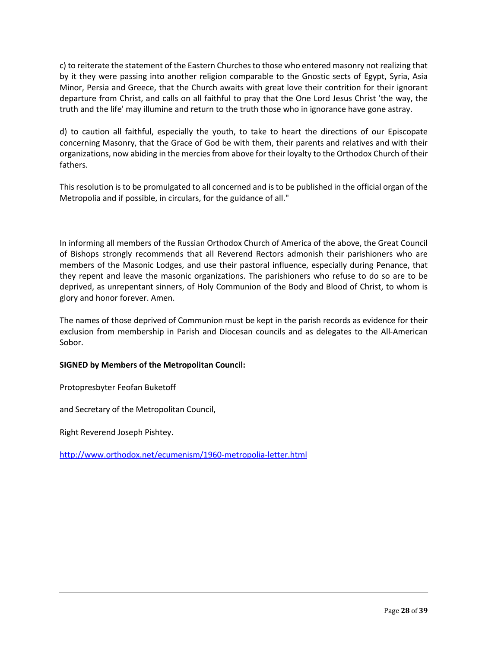c) to reiterate the statement of the Eastern Churches to those who entered masonry not realizing that by it they were passing into another religion comparable to the Gnostic sects of Egypt, Syria, Asia Minor, Persia and Greece, that the Church awaits with great love their contrition for their ignorant departure from Christ, and calls on all faithful to pray that the One Lord Jesus Christ 'the way, the truth and the life' may illumine and return to the truth those who in ignorance have gone astray.

d) to caution all faithful, especially the youth, to take to heart the directions of our Episcopate concerning Masonry, that the Grace of God be with them, their parents and relatives and with their organizations, now abiding in the mercies from above for their loyalty to the Orthodox Church of their fathers.

This resolution is to be promulgated to all concerned and is to be published in the official organ of the Metropolia and if possible, in circulars, for the guidance of all."

In informing all members of the Russian Orthodox Church of America of the above, the Great Council of Bishops strongly recommends that all Reverend Rectors admonish their parishioners who are members of the Masonic Lodges, and use their pastoral influence, especially during Penance, that they repent and leave the masonic organizations. The parishioners who refuse to do so are to be deprived, as unrepentant sinners, of Holy Communion of the Body and Blood of Christ, to whom is glory and honor forever. Amen.

The names of those deprived of Communion must be kept in the parish records as evidence for their exclusion from membership in Parish and Diocesan councils and as delegates to the All-American Sobor.

#### **SIGNED by Members of the Metropolitan Council:**

Protopresbyter Feofan Buketoff

and Secretary of the Metropolitan Council,

Right Reverend Joseph Pishtey.

http://www.orthodox.net/ecumenism/1960-metropolia-letter.html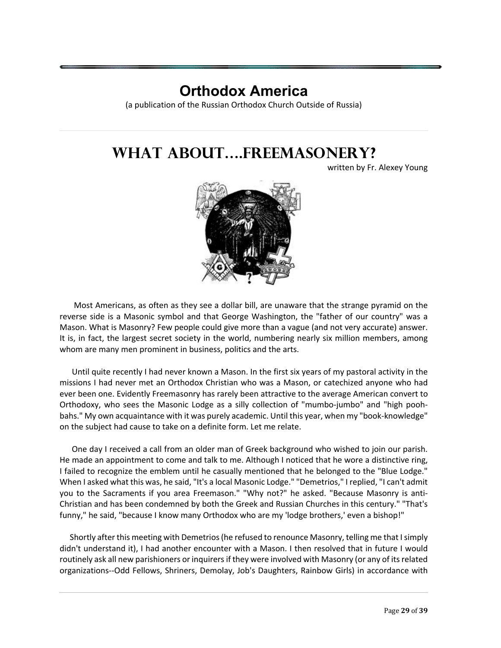## **Orthodox America**

(a publication of the Russian Orthodox Church Outside of Russia)

## **What About….Freemasonery?**

written by Fr. Alexey Young



 Most Americans, as often as they see a dollar bill, are unaware that the strange pyramid on the reverse side is a Masonic symbol and that George Washington, the "father of our country" was a Mason. What is Masonry? Few people could give more than a vague (and not very accurate) answer. It is, in fact, the largest secret society in the world, numbering nearly six million members, among whom are many men prominent in business, politics and the arts.

 Until quite recently I had never known a Mason. In the first six years of my pastoral activity in the missions I had never met an Orthodox Christian who was a Mason, or catechized anyone who had ever been one. Evidently Freemasonry has rarely been attractive to the average American convert to Orthodoxy, who sees the Masonic Lodge as a silly collection of "mumbo-jumbo" and "high poohbahs." My own acquaintance with it was purely academic. Until this year, when my "book-knowledge" on the subject had cause to take on a definite form. Let me relate.

 One day I received a call from an older man of Greek background who wished to join our parish. He made an appointment to come and talk to me. Although I noticed that he wore a distinctive ring, I failed to recognize the emblem until he casually mentioned that he belonged to the "Blue Lodge." When I asked what this was, he said, "It's a local Masonic Lodge." "Demetrios," I replied, "I can't admit you to the Sacraments if you area Freemason." "Why not?" he asked. "Because Masonry is anti-Christian and has been condemned by both the Greek and Russian Churches in this century." "That's funny," he said, "because I know many Orthodox who are my 'lodge brothers,' even a bishop!"

 Shortly after this meeting with Demetrios (he refused to renounce Masonry, telling me that I simply didn't understand it), I had another encounter with a Mason. I then resolved that in future I would routinely ask all new parishioners or inquirers if they were involved with Masonry (or any of its related organizations--Odd Fellows, Shriners, Demolay, Job's Daughters, Rainbow Girls) in accordance with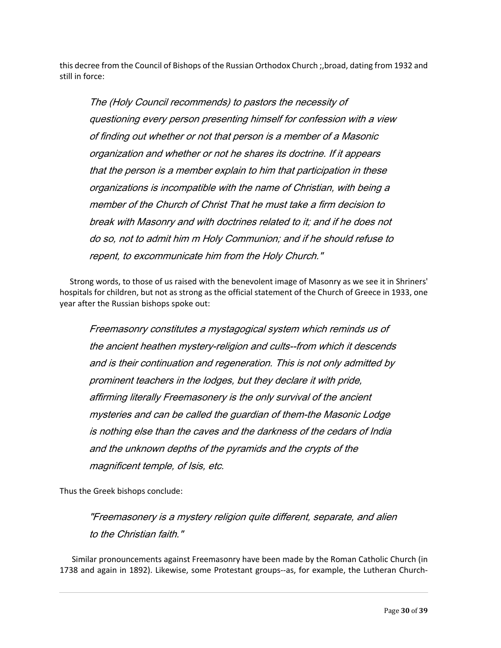this decree from the Council of Bishops of the Russian Orthodox Church ;,broad, dating from 1932 and still in force:

The (Holy Council recommends) to pastors the necessity of questioning every person presenting himself for confession with a view of finding out whether or not that person is a member of a Masonic organization and whether or not he shares its doctrine. If it appears that the person is a member explain to him that participation in these organizations is incompatible with the name of Christian, with being a member of the Church of Christ That he must take a firm decision to break with Masonry and with doctrines related to it; and if he does not do so, not to admit him m Holy Communion; and if he should refuse to repent, to excommunicate him from the Holy Church."

 Strong words, to those of us raised with the benevolent image of Masonry as we see it in Shriners' hospitals for children, but not as strong as the official statement of the Church of Greece in 1933, one year after the Russian bishops spoke out:

Freemasonry constitutes a mystagogical system which reminds us of the ancient heathen mystery-religion and cults--from which it descends and is their continuation and regeneration. This is not only admitted by prominent teachers in the lodges, but they declare it with pride, affirming literally Freemasonery is the only survival of the ancient mysteries and can be called the guardian of them-the Masonic Lodge is nothing else than the caves and the darkness of the cedars of India and the unknown depths of the pyramids and the crypts of the magnificent temple, of Isis, etc.

Thus the Greek bishops conclude:

"Freemasonery is a mystery religion quite different, separate, and alien to the Christian faith."

 Similar pronouncements against Freemasonry have been made by the Roman Catholic Church (in 1738 and again in 1892). Likewise, some Protestant groups--as, for example, the Lutheran Church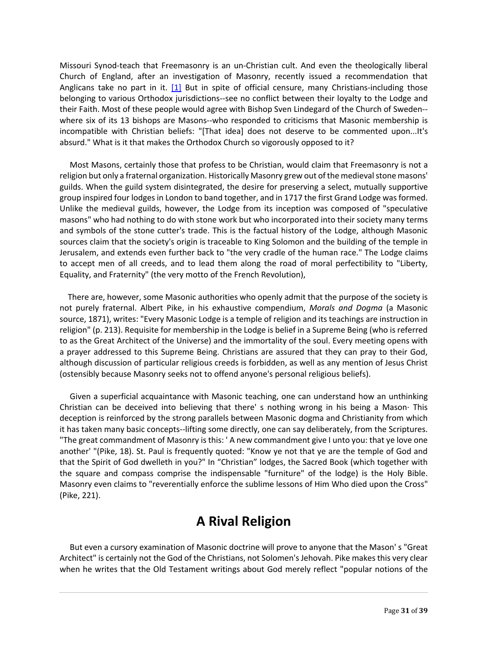Missouri Synod-teach that Freemasonry is an un-Christian cult. And even the theologically liberal Church of England, after an investigation of Masonry, recently issued a recommendation that Anglicans take no part in it. [1] But in spite of official censure, many Christians-including those belonging to various Orthodox jurisdictions--see no conflict between their loyalty to the Lodge and their Faith. Most of these people would agree with Bishop Sven Lindegard of the Church of Sweden- where six of its 13 bishops are Masons--who responded to criticisms that Masonic membership is incompatible with Christian beliefs: "[That idea] does not deserve to be commented upon...It's absurd." What is it that makes the Orthodox Church so vigorously opposed to it?

 Most Masons, certainly those that profess to be Christian, would claim that Freemasonry is not a religion but only a fraternal organization. Historically Masonry grew out of the medieval stone masons' guilds. When the guild system disintegrated, the desire for preserving a select, mutually supportive group inspired four lodges in London to band together, and in 1717 the first Grand Lodge was formed. Unlike the medieval guilds, however, the Lodge from its inception was composed of "speculative masons" who had nothing to do with stone work but who incorporated into their society many terms and symbols of the stone cutter's trade. This is the factual history of the Lodge, although Masonic sources claim that the society's origin is traceable to King Solomon and the building of the temple in Jerusalem, and extends even further back to "the very cradle of the human race." The Lodge claims to accept men of all creeds, and to lead them along the road of moral perfectibility to "Liberty, Equality, and Fraternity" (the very motto of the French Revolution),

 There are, however, some Masonic authorities who openly admit that the purpose of the society is not purely fraternal. Albert Pike, in his exhaustive compendium, *Morals and Dogma* (a Masonic source, 1871), writes: "Every Masonic Lodge is a temple of religion and its teachings are instruction in religion" (p. 213). Requisite for membership in the Lodge is belief in a Supreme Being (who is referred to as the Great Architect of the Universe) and the immortality of the soul. Every meeting opens with a prayer addressed to this Supreme Being. Christians are assured that they can pray to their God, although discussion of particular religious creeds is forbidden, as well as any mention of Jesus Christ (ostensibly because Masonry seeks not to offend anyone's personal religious beliefs).

 Given a superficial acquaintance with Masonic teaching, one can understand how an unthinking Christian can be deceived into believing that there' s nothing wrong in his being a Mason· This deception is reinforced by the strong parallels between Masonic dogma and Christianity from which it has taken many basic concepts--lifting some directly, one can say deliberately, from the Scriptures. "The great commandment of Masonry is this: ' A new commandment give I unto you: that ye love one another' "(Pike, 18). St. Paul is frequently quoted: "Know ye not that ye are the temple of God and that the Spirit of God dwelleth in you?" In "Christian" lodges, the Sacred Book (which together with the square and compass comprise the indispensable "furniture" of the lodge) is the Holy Bible. Masonry even claims to "reverentially enforce the sublime lessons of Him Who died upon the Cross" (Pike, 221).

### **A Rival Religion**

 But even a cursory examination of Masonic doctrine will prove to anyone that the Mason' s "Great Architect" is certainly not the God of the Christians, not Solomen's Jehovah. Pike makes this very clear when he writes that the Old Testament writings about God merely reflect "popular notions of the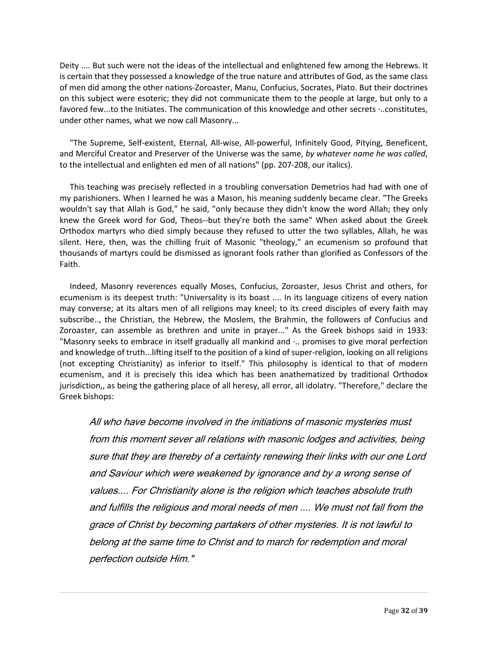Deity .... But such were not the ideas of the intellectual and enlightened few among the Hebrews. It is certain that they possessed a knowledge of the true nature and attributes of God, as the same class of men did among the other nations-Zoroaster, Manu, Confucius, Socrates, Plato. But their doctrines on this subject were esoteric; they did not communicate them to the people at large, but only to a favored few...to the Initiates. The communication of this knowledge and other secrets ·..constitutes, under other names, what we now call Masonry...

 "The Supreme, Self-existent, Eternal, All-wise, All-powerful, Infinitely Good, Pitying, Beneficent, and Merciful Creator and Preserver of the Universe was the same, *by whatever name he was called*, to the intellectual and enlighten ed men of all nations" (pp. 207-208, our italics).

 This teaching was precisely reflected in a troubling conversation Demetrios had had with one of my parishioners. When I learned he was a Mason, his meaning suddenly became clear. "The Greeks wouldn't say that Allah is God," he said, "only because they didn't know the word Allah; they only knew the Greek word for God, Theos--but they're both the same" When asked about the Greek Orthodox martyrs who died simply because they refused to utter the two syllables, Allah, he was silent. Here, then, was the chilling fruit of Masonic "theology," an ecumenism so profound that thousands of martyrs could be dismissed as ignorant fools rather than glorified as Confessors of the Faith.

 Indeed, Masonry reverences equally Moses, Confucius, Zoroaster, Jesus Christ and others, for ecumenism is its deepest truth: "Universality is its boast .... In its language citizens of every nation may converse; at its altars men of all religions may kneel; to its creed disciples of every faith may subscribe.., the Christian, the Hebrew, the Moslem, the Brahmin, the followers of Confucius and Zoroaster, can assemble as brethren and unite in prayer..." As the Greek bishops said in 1933: "Masonry seeks to embrace in itself gradually all mankind and ·.. promises to give moral perfection and knowledge of truth...lifting itself to the position of a kind of super-religion, looking on all religions (not excepting Christianity) as inferior to itself." This philosophy is identical to that of modern ecumenism, and it is precisely this idea which has been anathematized by traditional Orthodox jurisdiction,, as being the gathering place of all heresy, all error, all idolatry. "Therefore," declare the Greek bishops:

All who have become involved in the initiations of masonic mysteries must from this moment sever all relations with masonic lodges and activities, being sure that they are thereby of a certainty renewing their links with our one Lord and Saviour which were weakened by ignorance and by a wrong sense of values.... For Christianity alone is the religion which teaches absolute truth and fulfills the religious and moral needs of men .... We must not fall from the grace of Christ by becoming partakers of other mysteries. It is not lawful to belong at the same time to Christ and to march for redemption and moral perfection outside Him."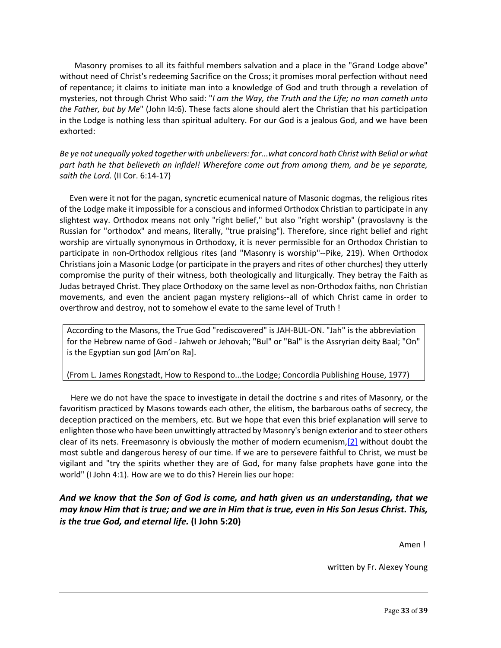Masonry promises to all its faithful members salvation and a place in the "Grand Lodge above" without need of Christ's redeeming Sacrifice on the Cross; it promises moral perfection without need of repentance; it claims to initiate man into a knowledge of God and truth through a revelation of mysteries, not through Christ Who said: "*I am the Way, the Truth and the Life; no man cometh unto the Father, but by Me*" (John l4:6). These facts alone should alert the Christian that his participation in the Lodge is nothing less than spiritual adultery. For our God is a jealous God, and we have been exhorted:

*Be ye not unequally yoked together with unbelievers: for...what concord hath Christ with Belial or what part hath he that believeth an infidel! Wherefore come out from among them, and be ye separate, saith the Lord.* (II Cor. 6:14-17)

 Even were it not for the pagan, syncretic ecumenical nature of Masonic dogmas, the religious rites of the Lodge make it impossible for a conscious and informed Orthodox Christian to participate in any slightest way. Orthodox means not only "right belief," but also "right worship" (pravoslavny is the Russian for "orthodox" and means, literally, "true praising"). Therefore, since right belief and right worship are virtually synonymous in Orthodoxy, it is never permissible for an Orthodox Christian to participate in non-Orthodox rellgious rites (and "Masonry is worship"--Pike, 219). When Orthodox Christians join a Masonic Lodge (or participate in the prayers and rites of other churches) they utterly compromise the purity of their witness, both theologically and liturgically. They betray the Faith as Judas betrayed Christ. They place Orthodoxy on the same level as non-Orthodox faiths, non Christian movements, and even the ancient pagan mystery religions--all of which Christ came in order to overthrow and destroy, not to somehow el evate to the same level of Truth !

According to the Masons, the True God "rediscovered" is JAH-BUL-ON. "Jah" is the abbreviation for the Hebrew name of God - Jahweh or Jehovah; "Bul" or "Bal" is the Assryrian deity Baal; "On" is the Egyptian sun god [Am'on Ra].

#### (From L. James Rongstadt, How to Respond to...the Lodge; Concordia Publishing House, 1977)

 Here we do not have the space to investigate in detail the doctrine s and rites of Masonry, or the favoritism practiced by Masons towards each other, the elitism, the barbarous oaths of secrecy, the deception practiced on the members, etc. But we hope that even this brief explanation will serve to enlighten those who have been unwittingly attracted by Masonry's benign exterior and to steer others clear of its nets. Freemasonry is obviously the mother of modern ecumenism,[2] without doubt the most subtle and dangerous heresy of our time. If we are to persevere faithful to Christ, we must be vigilant and "try the spirits whether they are of God, for many false prophets have gone into the world" (I John 4:1). How are we to do this? Herein lies our hope:

#### *And we know that the Son of God is come, and hath given us an understanding, that we may know Him that is true; and we are in Him that is true, even in His Son Jesus Christ. This, is the true God, and eternal life.* **(I John 5:20)**

Amen !

written by Fr. Alexey Young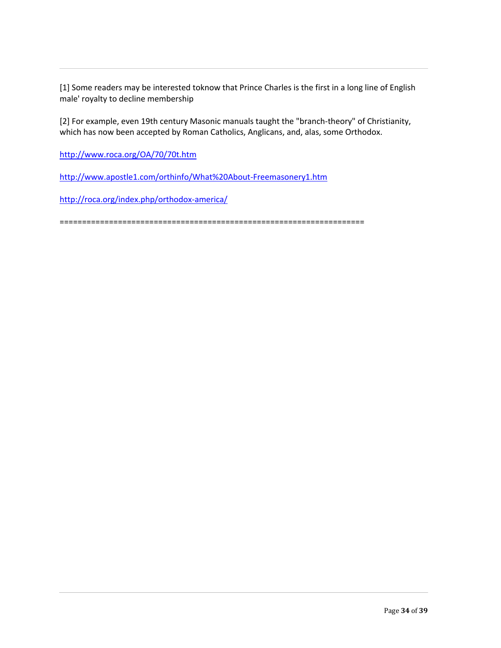[1] Some readers may be interested toknow that Prince Charles is the first in a long line of English male' royalty to decline membership

[2] For example, even 19th century Masonic manuals taught the "branch-theory" of Christianity, which has now been accepted by Roman Catholics, Anglicans, and, alas, some Orthodox.

http://www.roca.org/OA/70/70t.htm

http://www.apostle1.com/orthinfo/What%20About-Freemasonery1.htm

http://roca.org/index.php/orthodox-america/

====================================================================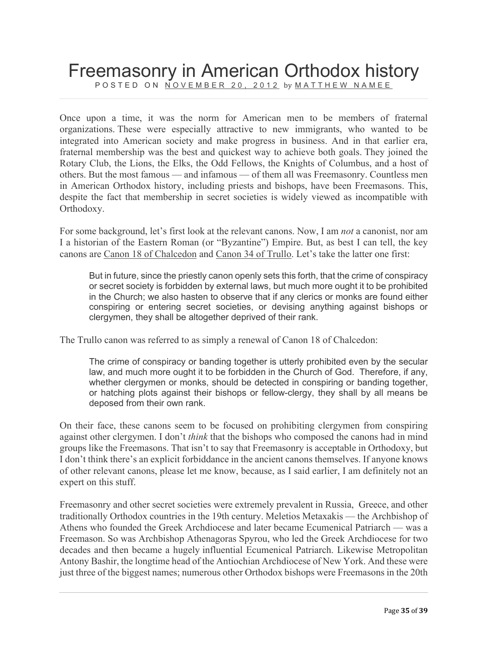# Freemasonry in American Orthodox history

POSTED ON NOVEMBER 20, 2012 by MATTHEW NAMEE

Once upon a time, it was the norm for American men to be members of fraternal organizations. These were especially attractive to new immigrants, who wanted to be integrated into American society and make progress in business. And in that earlier era, fraternal membership was the best and quickest way to achieve both goals. They joined the Rotary Club, the Lions, the Elks, the Odd Fellows, the Knights of Columbus, and a host of others. But the most famous — and infamous — of them all was Freemasonry. Countless men in American Orthodox history, including priests and bishops, have been Freemasons. This, despite the fact that membership in secret societies is widely viewed as incompatible with Orthodoxy.

For some background, let's first look at the relevant canons. Now, I am *not* a canonist, nor am I a historian of the Eastern Roman (or "Byzantine") Empire. But, as best I can tell, the key canons are Canon 18 of Chalcedon and Canon 34 of Trullo. Let's take the latter one first:

But in future, since the priestly canon openly sets this forth, that the crime of conspiracy or secret society is forbidden by external laws, but much more ought it to be prohibited in the Church; we also hasten to observe that if any clerics or monks are found either conspiring or entering secret societies, or devising anything against bishops or clergymen, they shall be altogether deprived of their rank.

The Trullo canon was referred to as simply a renewal of Canon 18 of Chalcedon:

The crime of conspiracy or banding together is utterly prohibited even by the secular law, and much more ought it to be forbidden in the Church of God. Therefore, if any, whether clergymen or monks, should be detected in conspiring or banding together, or hatching plots against their bishops or fellow-clergy, they shall by all means be deposed from their own rank.

On their face, these canons seem to be focused on prohibiting clergymen from conspiring against other clergymen. I don't *think* that the bishops who composed the canons had in mind groups like the Freemasons. That isn't to say that Freemasonry is acceptable in Orthodoxy, but I don't think there's an explicit forbiddance in the ancient canons themselves. If anyone knows of other relevant canons, please let me know, because, as I said earlier, I am definitely not an expert on this stuff.

Freemasonry and other secret societies were extremely prevalent in Russia, Greece, and other traditionally Orthodox countries in the 19th century. Meletios Metaxakis — the Archbishop of Athens who founded the Greek Archdiocese and later became Ecumenical Patriarch — was a Freemason. So was Archbishop Athenagoras Spyrou, who led the Greek Archdiocese for two decades and then became a hugely influential Ecumenical Patriarch. Likewise Metropolitan Antony Bashir, the longtime head of the Antiochian Archdiocese of New York. And these were just three of the biggest names; numerous other Orthodox bishops were Freemasons in the 20th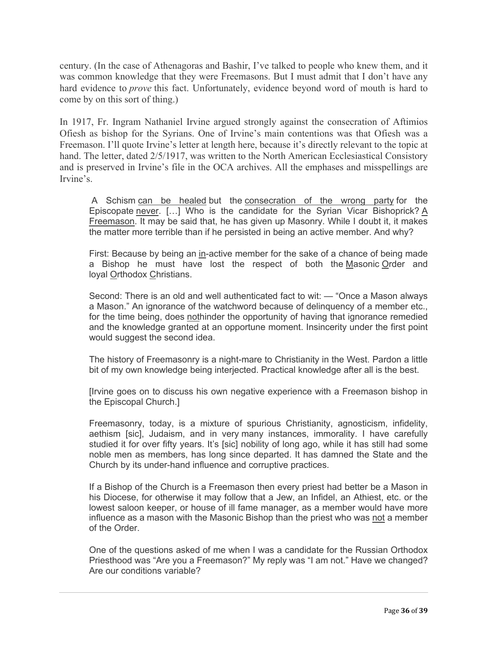century. (In the case of Athenagoras and Bashir, I've talked to people who knew them, and it was common knowledge that they were Freemasons. But I must admit that I don't have any hard evidence to *prove* this fact. Unfortunately, evidence beyond word of mouth is hard to come by on this sort of thing.)

In 1917, Fr. Ingram Nathaniel Irvine argued strongly against the consecration of Aftimios Ofiesh as bishop for the Syrians. One of Irvine's main contentions was that Ofiesh was a Freemason. I'll quote Irvine's letter at length here, because it's directly relevant to the topic at hand. The letter, dated 2/5/1917, was written to the North American Ecclesiastical Consistory and is preserved in Irvine's file in the OCA archives. All the emphases and misspellings are Irvine's.

A Schism can be healed but the consecration of the wrong party for the Episcopate never. […] Who is the candidate for the Syrian Vicar Bishoprick? A Freemason. It may be said that, he has given up Masonry. While I doubt it, it makes the matter more terrible than if he persisted in being an active member. And why?

First: Because by being an in-active member for the sake of a chance of being made a Bishop he must have lost the respect of both the Masonic Order and loyal Orthodox Christians.

Second: There is an old and well authenticated fact to wit: — "Once a Mason always a Mason." An ignorance of the watchword because of delinquency of a member etc., for the time being, does nothinder the opportunity of having that ignorance remedied and the knowledge granted at an opportune moment. Insincerity under the first point would suggest the second idea.

The history of Freemasonry is a night-mare to Christianity in the West. Pardon a little bit of my own knowledge being interjected. Practical knowledge after all is the best.

[Irvine goes on to discuss his own negative experience with a Freemason bishop in the Episcopal Church.]

Freemasonry, today, is a mixture of spurious Christianity, agnosticism, infidelity, aethism [sic], Judaism, and in very many instances, immorality. I have carefully studied it for over fifty years. It's [sic] nobility of long ago, while it has still had some noble men as members, has long since departed. It has damned the State and the Church by its under-hand influence and corruptive practices.

If a Bishop of the Church is a Freemason then every priest had better be a Mason in his Diocese, for otherwise it may follow that a Jew, an Infidel, an Athiest, etc. or the lowest saloon keeper, or house of ill fame manager, as a member would have more influence as a mason with the Masonic Bishop than the priest who was not a member of the Order.

One of the questions asked of me when I was a candidate for the Russian Orthodox Priesthood was "Are you a Freemason?" My reply was "I am not." Have we changed? Are our conditions variable?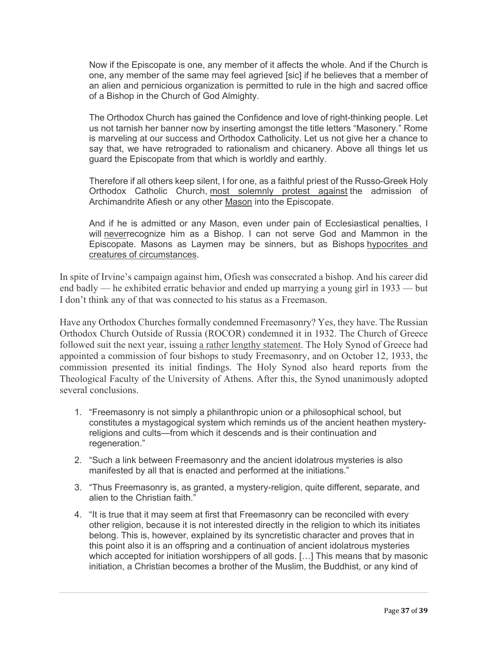Now if the Episcopate is one, any member of it affects the whole. And if the Church is one, any member of the same may feel agrieved [sic] if he believes that a member of an alien and pernicious organization is permitted to rule in the high and sacred office of a Bishop in the Church of God Almighty.

The Orthodox Church has gained the Confidence and love of right-thinking people. Let us not tarnish her banner now by inserting amongst the title letters "Masonery." Rome is marveling at our success and Orthodox Catholicity. Let us not give her a chance to say that, we have retrograded to rationalism and chicanery. Above all things let us guard the Episcopate from that which is worldly and earthly.

Therefore if all others keep silent, I for one, as a faithful priest of the Russo-Greek Holy Orthodox Catholic Church, most solemnly protest against the admission of Archimandrite Afiesh or any other Mason into the Episcopate.

And if he is admitted or any Mason, even under pain of Ecclesiastical penalties, I will neverrecognize him as a Bishop. I can not serve God and Mammon in the Episcopate. Masons as Laymen may be sinners, but as Bishops hypocrites and creatures of circumstances.

In spite of Irvine's campaign against him, Ofiesh was consecrated a bishop. And his career did end badly — he exhibited erratic behavior and ended up marrying a young girl in 1933 — but I don't think any of that was connected to his status as a Freemason.

Have any Orthodox Churches formally condemned Freemasonry? Yes, they have. The Russian Orthodox Church Outside of Russia (ROCOR) condemned it in 1932. The Church of Greece followed suit the next year, issuing a rather lengthy statement. The Holy Synod of Greece had appointed a commission of four bishops to study Freemasonry, and on October 12, 1933, the commission presented its initial findings. The Holy Synod also heard reports from the Theological Faculty of the University of Athens. After this, the Synod unanimously adopted several conclusions.

- 1. "Freemasonry is not simply a philanthropic union or a philosophical school, but constitutes a mystagogical system which reminds us of the ancient heathen mysteryreligions and cults—from which it descends and is their continuation and regeneration."
- 2. "Such a link between Freemasonry and the ancient idolatrous mysteries is also manifested by all that is enacted and performed at the initiations."
- 3. "Thus Freemasonry is, as granted, a mystery-religion, quite different, separate, and alien to the Christian faith."
- 4. "It is true that it may seem at first that Freemasonry can be reconciled with every other religion, because it is not interested directly in the religion to which its initiates belong. This is, however, explained by its syncretistic character and proves that in this point also it is an offspring and a continuation of ancient idolatrous mysteries which accepted for initiation worshippers of all gods. […] This means that by masonic initiation, a Christian becomes a brother of the Muslim, the Buddhist, or any kind of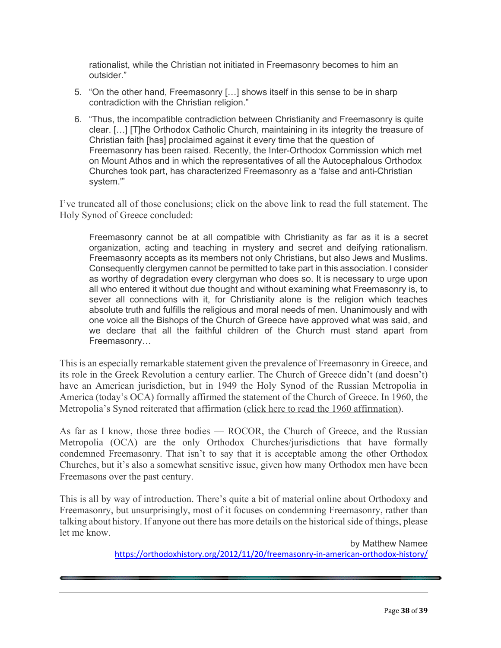rationalist, while the Christian not initiated in Freemasonry becomes to him an outsider."

- 5. "On the other hand, Freemasonry […] shows itself in this sense to be in sharp contradiction with the Christian religion."
- 6. "Thus, the incompatible contradiction between Christianity and Freemasonry is quite clear. […] [T]he Orthodox Catholic Church, maintaining in its integrity the treasure of Christian faith [has] proclaimed against it every time that the question of Freemasonry has been raised. Recently, the Inter-Orthodox Commission which met on Mount Athos and in which the representatives of all the Autocephalous Orthodox Churches took part, has characterized Freemasonry as a 'false and anti-Christian system.'"

I've truncated all of those conclusions; click on the above link to read the full statement. The Holy Synod of Greece concluded:

Freemasonry cannot be at all compatible with Christianity as far as it is a secret organization, acting and teaching in mystery and secret and deifying rationalism. Freemasonry accepts as its members not only Christians, but also Jews and Muslims. Consequently clergymen cannot be permitted to take part in this association. I consider as worthy of degradation every clergyman who does so. It is necessary to urge upon all who entered it without due thought and without examining what Freemasonry is, to sever all connections with it, for Christianity alone is the religion which teaches absolute truth and fulfills the religious and moral needs of men. Unanimously and with one voice all the Bishops of the Church of Greece have approved what was said, and we declare that all the faithful children of the Church must stand apart from Freemasonry…

This is an especially remarkable statement given the prevalence of Freemasonry in Greece, and its role in the Greek Revolution a century earlier. The Church of Greece didn't (and doesn't) have an American jurisdiction, but in 1949 the Holy Synod of the Russian Metropolia in America (today's OCA) formally affirmed the statement of the Church of Greece. In 1960, the Metropolia's Synod reiterated that affirmation (click here to read the 1960 affirmation).

As far as I know, those three bodies — ROCOR, the Church of Greece, and the Russian Metropolia (OCA) are the only Orthodox Churches/jurisdictions that have formally condemned Freemasonry. That isn't to say that it is acceptable among the other Orthodox Churches, but it's also a somewhat sensitive issue, given how many Orthodox men have been Freemasons over the past century.

This is all by way of introduction. There's quite a bit of material online about Orthodoxy and Freemasonry, but unsurprisingly, most of it focuses on condemning Freemasonry, rather than talking about history. If anyone out there has more details on the historical side of things, please let me know.

> by Matthew Namee https://orthodoxhistory.org/2012/11/20/freemasonry-in-american-orthodox-history/